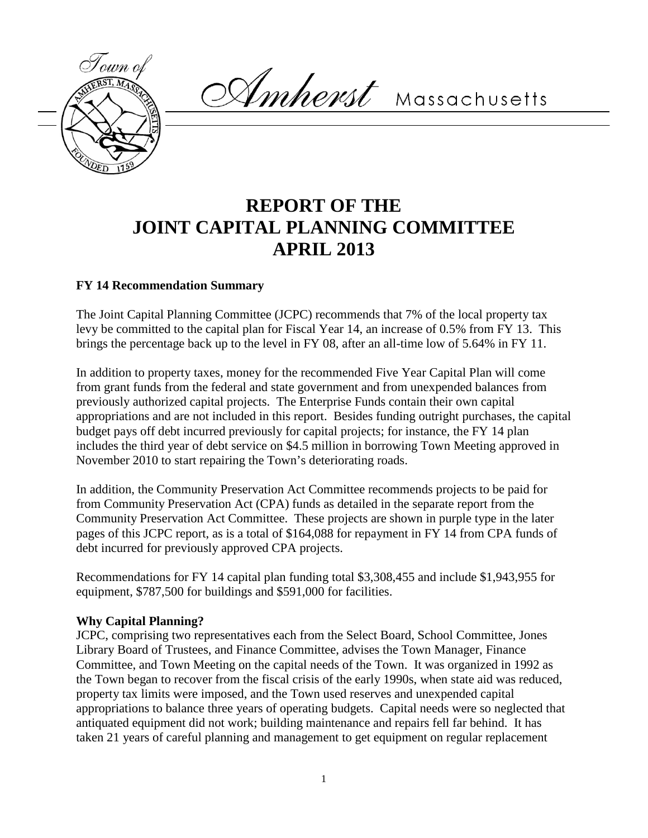

Amherst Massachusetts

# **REPORT OF THE JOINT CAPITAL PLANNING COMMITTEE APRIL 2013**

## **FY 14 Recommendation Summary**

The Joint Capital Planning Committee (JCPC) recommends that 7% of the local property tax levy be committed to the capital plan for Fiscal Year 14, an increase of 0.5% from FY 13. This brings the percentage back up to the level in FY 08, after an all-time low of 5.64% in FY 11.

In addition to property taxes, money for the recommended Five Year Capital Plan will come from grant funds from the federal and state government and from unexpended balances from previously authorized capital projects. The Enterprise Funds contain their own capital appropriations and are not included in this report. Besides funding outright purchases, the capital budget pays off debt incurred previously for capital projects; for instance, the FY 14 plan includes the third year of debt service on \$4.5 million in borrowing Town Meeting approved in November 2010 to start repairing the Town's deteriorating roads.

In addition, the Community Preservation Act Committee recommends projects to be paid for from Community Preservation Act (CPA) funds as detailed in the separate report from the Community Preservation Act Committee. These projects are shown in purple type in the later pages of this JCPC report, as is a total of \$164,088 for repayment in FY 14 from CPA funds of debt incurred for previously approved CPA projects.

Recommendations for FY 14 capital plan funding total \$3,308,455 and include \$1,943,955 for equipment, \$787,500 for buildings and \$591,000 for facilities.

## **Why Capital Planning?**

JCPC, comprising two representatives each from the Select Board, School Committee, Jones Library Board of Trustees, and Finance Committee, advises the Town Manager, Finance Committee, and Town Meeting on the capital needs of the Town. It was organized in 1992 as the Town began to recover from the fiscal crisis of the early 1990s, when state aid was reduced, property tax limits were imposed, and the Town used reserves and unexpended capital appropriations to balance three years of operating budgets. Capital needs were so neglected that antiquated equipment did not work; building maintenance and repairs fell far behind. It has taken 21 years of careful planning and management to get equipment on regular replacement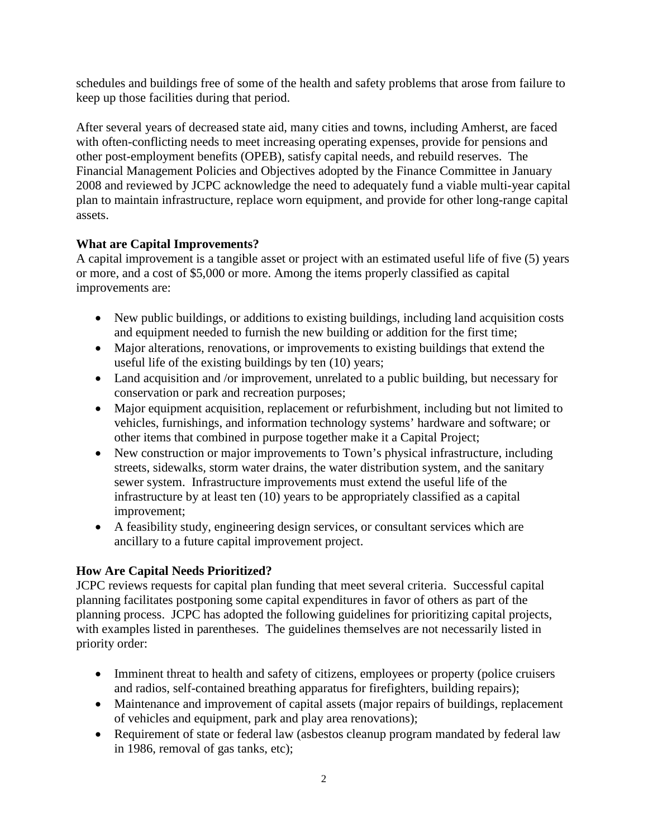schedules and buildings free of some of the health and safety problems that arose from failure to keep up those facilities during that period.

After several years of decreased state aid, many cities and towns, including Amherst, are faced with often-conflicting needs to meet increasing operating expenses, provide for pensions and other post-employment benefits (OPEB), satisfy capital needs, and rebuild reserves. The Financial Management Policies and Objectives adopted by the Finance Committee in January 2008 and reviewed by JCPC acknowledge the need to adequately fund a viable multi-year capital plan to maintain infrastructure, replace worn equipment, and provide for other long-range capital assets.

## **What are Capital Improvements?**

A capital improvement is a tangible asset or project with an estimated useful life of five (5) years or more, and a cost of \$5,000 or more. Among the items properly classified as capital improvements are:

- New public buildings, or additions to existing buildings, including land acquisition costs and equipment needed to furnish the new building or addition for the first time;
- Major alterations, renovations, or improvements to existing buildings that extend the useful life of the existing buildings by ten (10) years;
- Land acquisition and /or improvement, unrelated to a public building, but necessary for conservation or park and recreation purposes;
- Major equipment acquisition, replacement or refurbishment, including but not limited to vehicles, furnishings, and information technology systems' hardware and software; or other items that combined in purpose together make it a Capital Project;
- New construction or major improvements to Town's physical infrastructure, including streets, sidewalks, storm water drains, the water distribution system, and the sanitary sewer system. Infrastructure improvements must extend the useful life of the infrastructure by at least ten (10) years to be appropriately classified as a capital improvement;
- A feasibility study, engineering design services, or consultant services which are ancillary to a future capital improvement project.

## **How Are Capital Needs Prioritized?**

JCPC reviews requests for capital plan funding that meet several criteria. Successful capital planning facilitates postponing some capital expenditures in favor of others as part of the planning process. JCPC has adopted the following guidelines for prioritizing capital projects, with examples listed in parentheses. The guidelines themselves are not necessarily listed in priority order:

- Imminent threat to health and safety of citizens, employees or property (police cruisers and radios, self-contained breathing apparatus for firefighters, building repairs);
- Maintenance and improvement of capital assets (major repairs of buildings, replacement of vehicles and equipment, park and play area renovations);
- Requirement of state or federal law (asbestos cleanup program mandated by federal law in 1986, removal of gas tanks, etc);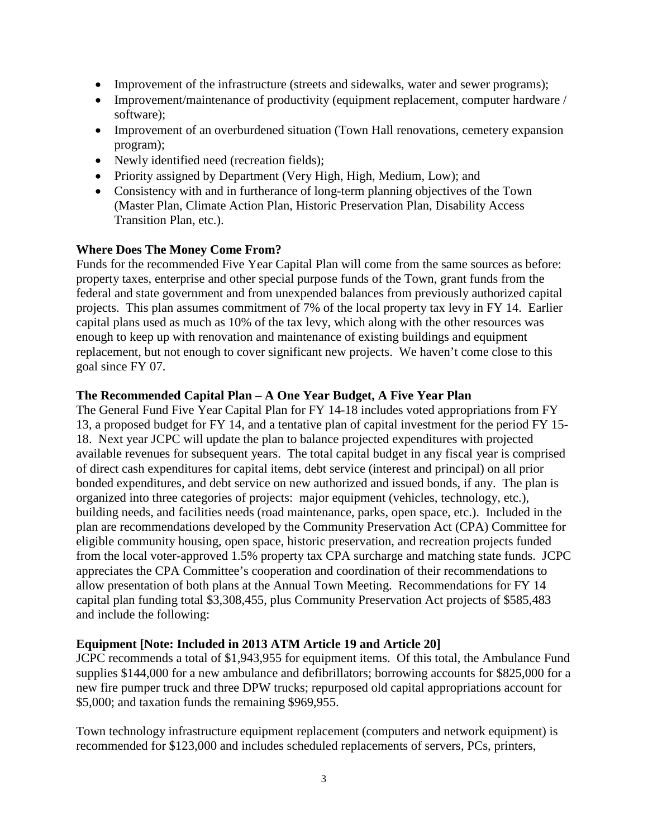- Improvement of the infrastructure (streets and sidewalks, water and sewer programs);
- Improvement/maintenance of productivity (equipment replacement, computer hardware / software);
- Improvement of an overburdened situation (Town Hall renovations, cemetery expansion program);
- Newly identified need (recreation fields);
- Priority assigned by Department (Very High, High, Medium, Low); and
- Consistency with and in furtherance of long-term planning objectives of the Town (Master Plan, Climate Action Plan, Historic Preservation Plan, Disability Access Transition Plan, etc.).

## **Where Does The Money Come From?**

Funds for the recommended Five Year Capital Plan will come from the same sources as before: property taxes, enterprise and other special purpose funds of the Town, grant funds from the federal and state government and from unexpended balances from previously authorized capital projects. This plan assumes commitment of 7% of the local property tax levy in FY 14. Earlier capital plans used as much as 10% of the tax levy, which along with the other resources was enough to keep up with renovation and maintenance of existing buildings and equipment replacement, but not enough to cover significant new projects. We haven't come close to this goal since FY 07.

## **The Recommended Capital Plan – A One Year Budget, A Five Year Plan**

The General Fund Five Year Capital Plan for FY 14-18 includes voted appropriations from FY 13, a proposed budget for FY 14, and a tentative plan of capital investment for the period FY 15- 18. Next year JCPC will update the plan to balance projected expenditures with projected available revenues for subsequent years. The total capital budget in any fiscal year is comprised of direct cash expenditures for capital items, debt service (interest and principal) on all prior bonded expenditures, and debt service on new authorized and issued bonds, if any. The plan is organized into three categories of projects: major equipment (vehicles, technology, etc.), building needs, and facilities needs (road maintenance, parks, open space, etc.). Included in the plan are recommendations developed by the Community Preservation Act (CPA) Committee for eligible community housing, open space, historic preservation, and recreation projects funded from the local voter-approved 1.5% property tax CPA surcharge and matching state funds. JCPC appreciates the CPA Committee's cooperation and coordination of their recommendations to allow presentation of both plans at the Annual Town Meeting. Recommendations for FY 14 capital plan funding total \$3,308,455, plus Community Preservation Act projects of \$585,483 and include the following:

## **Equipment [Note: Included in 2013 ATM Article 19 and Article 20]**

JCPC recommends a total of \$1,943,955 for equipment items. Of this total, the Ambulance Fund supplies \$144,000 for a new ambulance and defibrillators; borrowing accounts for \$825,000 for a new fire pumper truck and three DPW trucks; repurposed old capital appropriations account for \$5,000; and taxation funds the remaining \$969,955.

Town technology infrastructure equipment replacement (computers and network equipment) is recommended for \$123,000 and includes scheduled replacements of servers, PCs, printers,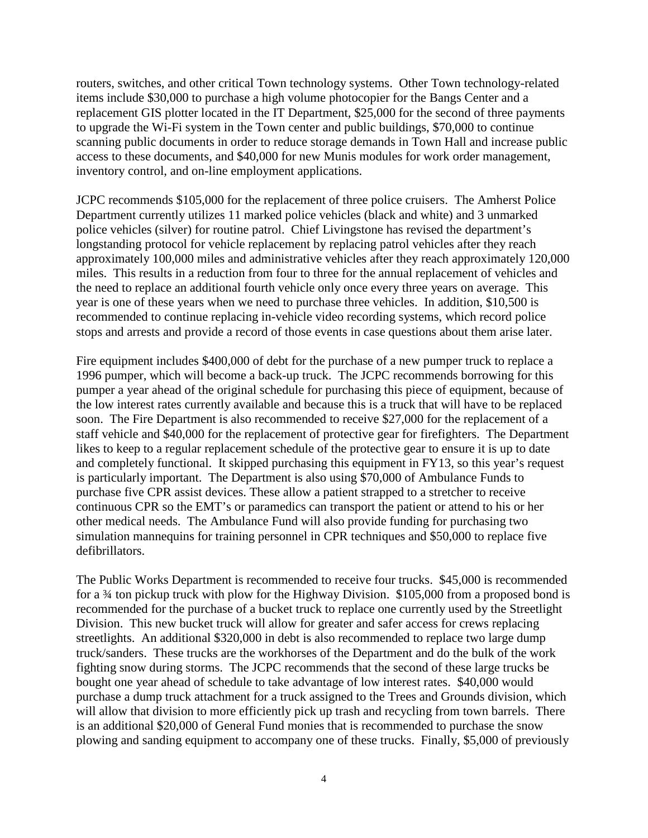routers, switches, and other critical Town technology systems. Other Town technology-related items include \$30,000 to purchase a high volume photocopier for the Bangs Center and a replacement GIS plotter located in the IT Department, \$25,000 for the second of three payments to upgrade the Wi-Fi system in the Town center and public buildings, \$70,000 to continue scanning public documents in order to reduce storage demands in Town Hall and increase public access to these documents, and \$40,000 for new Munis modules for work order management, inventory control, and on-line employment applications.

JCPC recommends \$105,000 for the replacement of three police cruisers. The Amherst Police Department currently utilizes 11 marked police vehicles (black and white) and 3 unmarked police vehicles (silver) for routine patrol. Chief Livingstone has revised the department's longstanding protocol for vehicle replacement by replacing patrol vehicles after they reach approximately 100,000 miles and administrative vehicles after they reach approximately 120,000 miles. This results in a reduction from four to three for the annual replacement of vehicles and the need to replace an additional fourth vehicle only once every three years on average. This year is one of these years when we need to purchase three vehicles. In addition, \$10,500 is recommended to continue replacing in-vehicle video recording systems, which record police stops and arrests and provide a record of those events in case questions about them arise later.

Fire equipment includes \$400,000 of debt for the purchase of a new pumper truck to replace a 1996 pumper, which will become a back-up truck. The JCPC recommends borrowing for this pumper a year ahead of the original schedule for purchasing this piece of equipment, because of the low interest rates currently available and because this is a truck that will have to be replaced soon. The Fire Department is also recommended to receive \$27,000 for the replacement of a staff vehicle and \$40,000 for the replacement of protective gear for firefighters. The Department likes to keep to a regular replacement schedule of the protective gear to ensure it is up to date and completely functional. It skipped purchasing this equipment in FY13, so this year's request is particularly important. The Department is also using \$70,000 of Ambulance Funds to purchase five CPR assist devices. These allow a patient strapped to a stretcher to receive continuous CPR so the EMT's or paramedics can transport the patient or attend to his or her other medical needs. The Ambulance Fund will also provide funding for purchasing two simulation mannequins for training personnel in CPR techniques and \$50,000 to replace five defibrillators.

The Public Works Department is recommended to receive four trucks. \$45,000 is recommended for a ¾ ton pickup truck with plow for the Highway Division. \$105,000 from a proposed bond is recommended for the purchase of a bucket truck to replace one currently used by the Streetlight Division. This new bucket truck will allow for greater and safer access for crews replacing streetlights. An additional \$320,000 in debt is also recommended to replace two large dump truck/sanders. These trucks are the workhorses of the Department and do the bulk of the work fighting snow during storms. The JCPC recommends that the second of these large trucks be bought one year ahead of schedule to take advantage of low interest rates. \$40,000 would purchase a dump truck attachment for a truck assigned to the Trees and Grounds division, which will allow that division to more efficiently pick up trash and recycling from town barrels. There is an additional \$20,000 of General Fund monies that is recommended to purchase the snow plowing and sanding equipment to accompany one of these trucks. Finally, \$5,000 of previously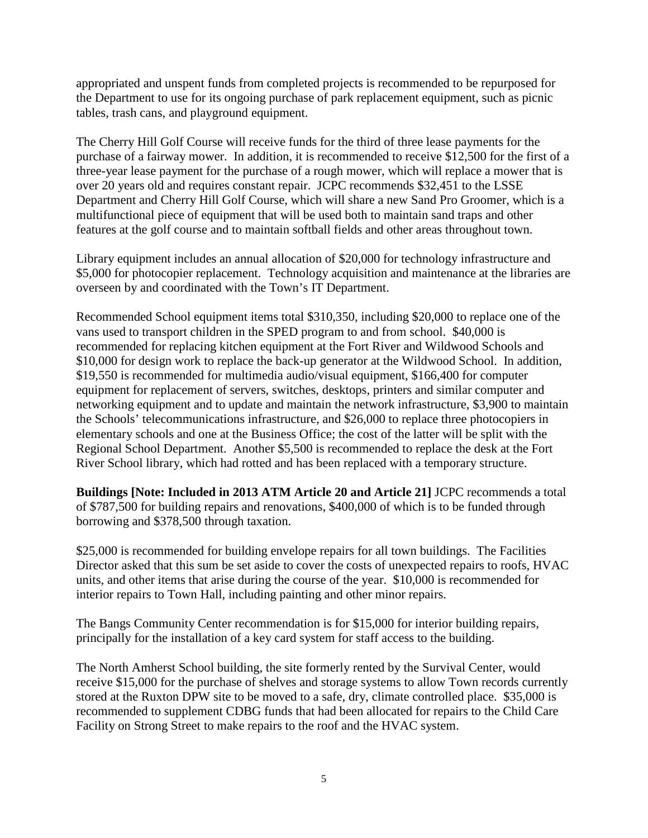appropriated and unspent funds from completed projects is recommended to be repurposed for the Department to use for its ongoing purchase of park replacement equipment, such as picnic tables, trash cans, and playground equipment.

The Cherry Hill Golf Course will receive funds for the third of three lease payments for the purchase of a fairway mower. In addition, it is recommended to receive \$12,500 for the first of a three-year lease payment for the purchase of a rough mower, which will replace a mower that is over 20 years old and requires constant repair. JCPC recommends \$32,451 to the LSSE Department and Cherry Hill Golf Course, which will share a new Sand Pro Groomer, which is a multifunctional piece of equipment that will be used both to maintain sand traps and other features at the golf course and to maintain softball fields and other areas throughout town.

Library equipment includes an annual allocation of \$20,000 for technology infrastructure and \$5,000 for photocopier replacement. Technology acquisition and maintenance at the libraries are overseen by and coordinated with the Town's IT Department.

Recommended School equipment items total \$310,350, including \$20,000 to replace one of the vans used to transport children in the SPED program to and from school. \$40,000 is recommended for replacing kitchen equipment at the Fort River and Wildwood Schools and \$10,000 for design work to replace the back-up generator at the Wildwood School. In addition, \$19,550 is recommended for multimedia audio/visual equipment, \$166,400 for computer equipment for replacement of servers, switches, desktops, printers and similar computer and networking equipment and to update and maintain the network infrastructure, \$3,900 to maintain the Schools' telecommunications infrastructure, and \$26,000 to replace three photocopiers in elementary schools and one at the Business Office; the cost of the latter will be split with the Regional School Department. Another \$5,500 is recommended to replace the desk at the Fort River School library, which had rotted and has been replaced with a temporary structure.

**Buildings [Note: Included in 2013 ATM Article 20 and Article 21]** JCPC recommends a total of \$787,500 for building repairs and renovations, \$400,000 of which is to be funded through borrowing and \$378,500 through taxation.

\$25,000 is recommended for building envelope repairs for all town buildings. The Facilities Director asked that this sum be set aside to cover the costs of unexpected repairs to roofs, HVAC units, and other items that arise during the course of the year. \$10,000 is recommended for interior repairs to Town Hall, including painting and other minor repairs.

The Bangs Community Center recommendation is for \$15,000 for interior building repairs, principally for the installation of a key card system for staff access to the building.

The North Amherst School building, the site formerly rented by the Survival Center, would receive \$15,000 for the purchase of shelves and storage systems to allow Town records currently stored at the Ruxton DPW site to be moved to a safe, dry, climate controlled place. \$35,000 is recommended to supplement CDBG funds that had been allocated for repairs to the Child Care Facility on Strong Street to make repairs to the roof and the HVAC system.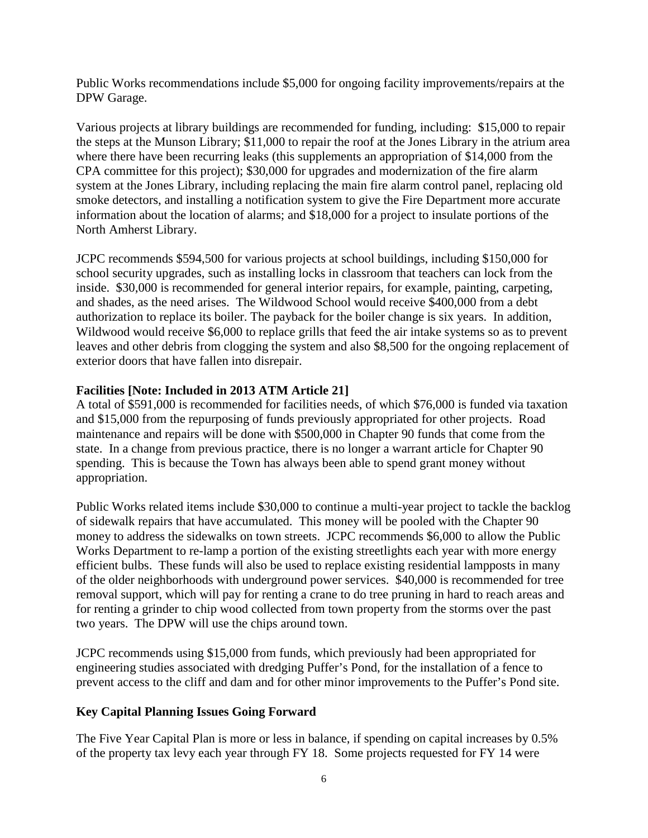Public Works recommendations include \$5,000 for ongoing facility improvements/repairs at the DPW Garage.

Various projects at library buildings are recommended for funding, including: \$15,000 to repair the steps at the Munson Library; \$11,000 to repair the roof at the Jones Library in the atrium area where there have been recurring leaks (this supplements an appropriation of \$14,000 from the CPA committee for this project); \$30,000 for upgrades and modernization of the fire alarm system at the Jones Library, including replacing the main fire alarm control panel, replacing old smoke detectors, and installing a notification system to give the Fire Department more accurate information about the location of alarms; and \$18,000 for a project to insulate portions of the North Amherst Library.

JCPC recommends \$594,500 for various projects at school buildings, including \$150,000 for school security upgrades, such as installing locks in classroom that teachers can lock from the inside. \$30,000 is recommended for general interior repairs, for example, painting, carpeting, and shades, as the need arises. The Wildwood School would receive \$400,000 from a debt authorization to replace its boiler. The payback for the boiler change is six years. In addition, Wildwood would receive \$6,000 to replace grills that feed the air intake systems so as to prevent leaves and other debris from clogging the system and also \$8,500 for the ongoing replacement of exterior doors that have fallen into disrepair.

## **Facilities [Note: Included in 2013 ATM Article 21]**

A total of \$591,000 is recommended for facilities needs, of which \$76,000 is funded via taxation and \$15,000 from the repurposing of funds previously appropriated for other projects. Road maintenance and repairs will be done with \$500,000 in Chapter 90 funds that come from the state. In a change from previous practice, there is no longer a warrant article for Chapter 90 spending. This is because the Town has always been able to spend grant money without appropriation.

Public Works related items include \$30,000 to continue a multi-year project to tackle the backlog of sidewalk repairs that have accumulated. This money will be pooled with the Chapter 90 money to address the sidewalks on town streets. JCPC recommends \$6,000 to allow the Public Works Department to re-lamp a portion of the existing streetlights each year with more energy efficient bulbs. These funds will also be used to replace existing residential lampposts in many of the older neighborhoods with underground power services. \$40,000 is recommended for tree removal support, which will pay for renting a crane to do tree pruning in hard to reach areas and for renting a grinder to chip wood collected from town property from the storms over the past two years. The DPW will use the chips around town.

JCPC recommends using \$15,000 from funds, which previously had been appropriated for engineering studies associated with dredging Puffer's Pond, for the installation of a fence to prevent access to the cliff and dam and for other minor improvements to the Puffer's Pond site.

## **Key Capital Planning Issues Going Forward**

The Five Year Capital Plan is more or less in balance, if spending on capital increases by 0.5% of the property tax levy each year through FY 18. Some projects requested for FY 14 were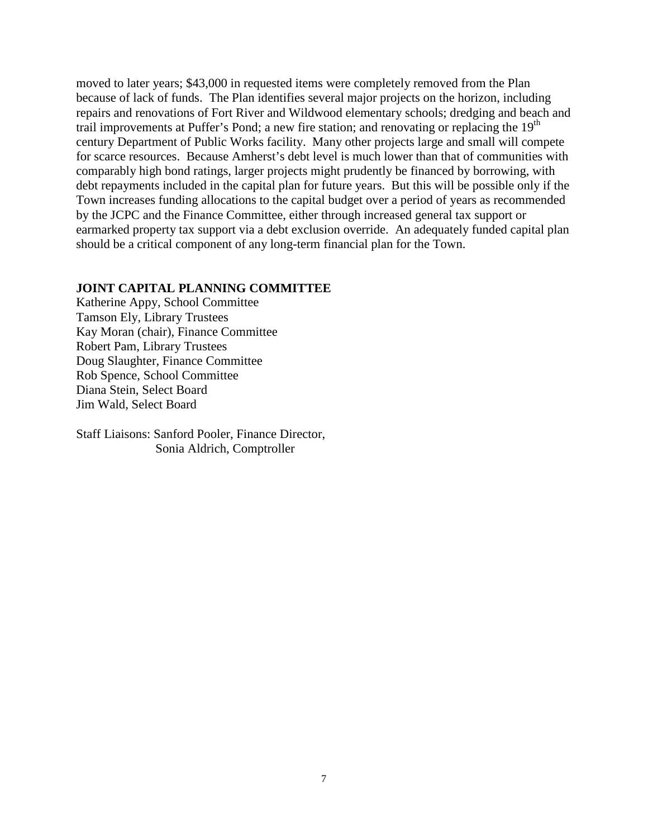moved to later years; \$43,000 in requested items were completely removed from the Plan because of lack of funds. The Plan identifies several major projects on the horizon, including repairs and renovations of Fort River and Wildwood elementary schools; dredging and beach and trail improvements at Puffer's Pond; a new fire station; and renovating or replacing the 19<sup>th</sup> century Department of Public Works facility. Many other projects large and small will compete for scarce resources. Because Amherst's debt level is much lower than that of communities with comparably high bond ratings, larger projects might prudently be financed by borrowing, with debt repayments included in the capital plan for future years. But this will be possible only if the Town increases funding allocations to the capital budget over a period of years as recommended by the JCPC and the Finance Committee, either through increased general tax support or earmarked property tax support via a debt exclusion override. An adequately funded capital plan should be a critical component of any long-term financial plan for the Town.

### **JOINT CAPITAL PLANNING COMMITTEE**

Katherine Appy, School Committee Tamson Ely, Library Trustees Kay Moran (chair), Finance Committee Robert Pam, Library Trustees Doug Slaughter, Finance Committee Rob Spence, School Committee Diana Stein, Select Board Jim Wald, Select Board

Staff Liaisons: Sanford Pooler, Finance Director, Sonia Aldrich, Comptroller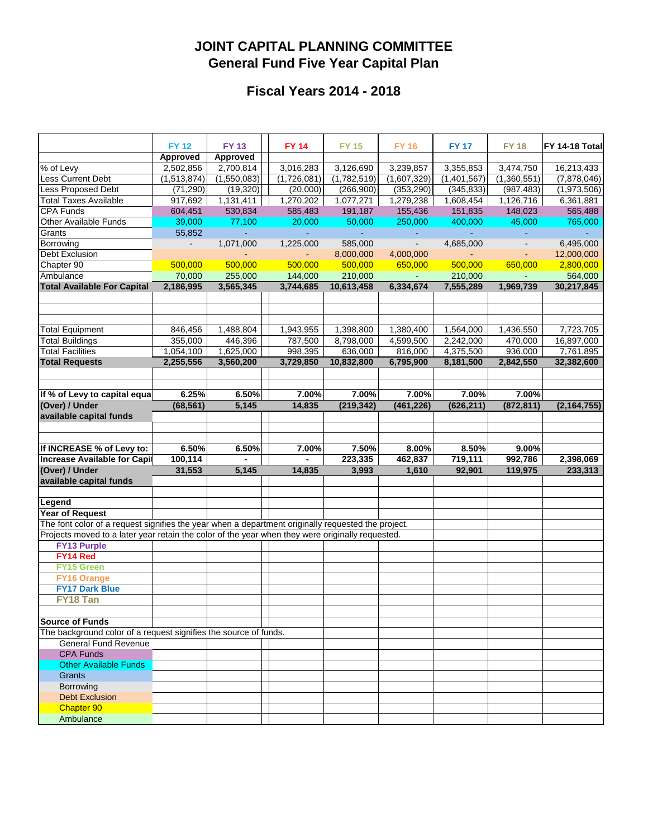## **JOINT CAPITAL PLANNING COMMITTEE General Fund Five Year Capital Plan**

## **Fiscal Years 2014 - 2018**

|                                                                                                    | <b>FY 12</b><br>Approved | <b>FY 13</b><br>Approved | <b>FY 14</b> | <b>FY 15</b> | <b>FY 16</b>   | <b>FY 17</b> | <b>FY 18</b>   | <b>FY 14-18 Total</b> |
|----------------------------------------------------------------------------------------------------|--------------------------|--------------------------|--------------|--------------|----------------|--------------|----------------|-----------------------|
| % of Levy                                                                                          | 2,502,856                | 2,700,814                | 3,016,283    | 3,126,690    | 3,239,857      | 3,355,853    | 3,474,750      | 16,213,433            |
| Less Current Debt                                                                                  | (1,513,874)              | (1,550,083)              | (1,726,081)  | (1,782,519)  | (1,607,329)    | (1,401,567)  | (1,360,551)    | (7,878,046)           |
| Less Proposed Debt                                                                                 | (71, 290)                | (19, 320)                | (20,000)     | (266,900)    | (353, 290)     | (345, 833)   | (987, 483)     | (1,973,506)           |
| <b>Total Taxes Available</b>                                                                       | 917,692                  | 1,131,411                | 1,270,202    | 1,077,271    | 1,279,238      | 1,608,454    | 1,126,716      | 6,361,881             |
| CPA Funds                                                                                          | 604,451                  | 530,834                  | 585,483      | 191,187      | 155,436        | 151,835      | 148,023        | 565,488               |
| Other Available Funds                                                                              | 39,000                   | 77,100                   | 20,000       | 50,000       | 250,000        | 400,000      | 45,000         | 765,000               |
| Grants                                                                                             | 55,852                   |                          |              |              |                |              |                |                       |
| Borrowing                                                                                          | $\overline{\phantom{a}}$ | 1,071,000                | 1,225,000    | 585,000      | $\blacksquare$ | 4,685,000    | $\blacksquare$ | 6,495,000             |
| Debt Exclusion                                                                                     |                          |                          |              | 8,000,000    | 4,000,000      |              |                | 12,000,000            |
| Chapter 90                                                                                         | 500,000                  | 500,000                  | 500,000      | 500,000      | 650,000        | 500,000      | 650,000        | 2,800,000             |
| Ambulance                                                                                          | 70,000                   | 255,000                  | 144,000      | 210,000      | $\sim$         | 210,000      | $\blacksquare$ | 564,000               |
| <b>Total Available For Capital</b>                                                                 | 2,186,995                | 3,565,345                | 3,744,685    | 10,613,458   | 6,334,674      | 7,555,289    | 1,969,739      | 30,217,845            |
|                                                                                                    |                          |                          |              |              |                |              |                |                       |
|                                                                                                    |                          |                          |              |              |                |              |                |                       |
|                                                                                                    |                          |                          |              |              |                |              |                |                       |
| <b>Total Equipment</b>                                                                             | 846,456                  | 1,488,804                | 1,943,955    | 1,398,800    | 1,380,400      | 1,564,000    | 1,436,550      | 7,723,705             |
| <b>Total Buildings</b>                                                                             | 355,000                  | 446,396                  | 787,500      | 8,798,000    | 4,599,500      | 2,242,000    | 470,000        | 16,897,000            |
| <b>Total Facilities</b>                                                                            | 1,054,100                | 1,625,000                | 998,395      | 636,000      | 816,000        | 4,375,500    | 936,000        | 7,761,895             |
| <b>Total Requests</b>                                                                              | 2,255,556                | 3,560,200                | 3,729,850    | 10,832,800   | 6,795,900      | 8,181,500    | 2,842,550      | 32,382,600            |
|                                                                                                    |                          |                          |              |              |                |              |                |                       |
|                                                                                                    |                          |                          |              |              |                |              |                |                       |
| If % of Levy to capital equa                                                                       | 6.25%                    | 6.50%                    | 7.00%        | 7.00%        | 7.00%          | 7.00%        | 7.00%          |                       |
| (Over) / Under                                                                                     | (68, 561)                | 5,145                    | 14,835       | (219, 342)   | (461, 226)     | (626, 211)   | (872, 811)     | (2, 164, 755)         |
| available capital funds                                                                            |                          |                          |              |              |                |              |                |                       |
|                                                                                                    |                          |                          |              |              |                |              |                |                       |
|                                                                                                    |                          |                          |              |              |                |              |                |                       |
| If INCREASE % of Levy to:                                                                          | 6.50%                    | 6.50%                    | 7.00%        | 7.50%        | 8.00%          | 8.50%        | 9.00%          |                       |
| <b>Increase Available for Capit</b>                                                                | 100, 114                 |                          |              | 223,335      | 462,837        | 719,111      | 992,786        | 2,398,069             |
| (Over) / Under                                                                                     | 31,553                   | 5,145                    | 14,835       | 3,993        | 1,610          | 92,901       | 119,975        | 233,313               |
| available capital funds                                                                            |                          |                          |              |              |                |              |                |                       |
|                                                                                                    |                          |                          |              |              |                |              |                |                       |
| Legend                                                                                             |                          |                          |              |              |                |              |                |                       |
| Year of Request                                                                                    |                          |                          |              |              |                |              |                |                       |
| The font color of a request signifies the year when a department originally requested the project. |                          |                          |              |              |                |              |                |                       |
| Projects moved to a later year retain the color of the year when they were originally requested.   |                          |                          |              |              |                |              |                |                       |
| <b>FY13 Purple</b>                                                                                 |                          |                          |              |              |                |              |                |                       |
| FY14 Red                                                                                           |                          |                          |              |              |                |              |                |                       |
| FY15 Green                                                                                         |                          |                          |              |              |                |              |                |                       |
| <b>FY16 Orange</b>                                                                                 |                          |                          |              |              |                |              |                |                       |
| <b>FY17 Dark Blue</b>                                                                              |                          |                          |              |              |                |              |                |                       |
| <b>FY18 Tan</b>                                                                                    |                          |                          |              |              |                |              |                |                       |
|                                                                                                    |                          |                          |              |              |                |              |                |                       |
| <b>Source of Funds</b>                                                                             |                          |                          |              |              |                |              |                |                       |
| The background color of a request signifies the source of funds.                                   |                          |                          |              |              |                |              |                |                       |
| <b>General Fund Revenue</b>                                                                        |                          |                          |              |              |                |              |                |                       |
| <b>CPA Funds</b>                                                                                   |                          |                          |              |              |                |              |                |                       |
| Other Available Funds                                                                              |                          |                          |              |              |                |              |                |                       |
| <b>Grants</b>                                                                                      |                          |                          |              |              |                |              |                |                       |
| Borrowing                                                                                          |                          |                          |              |              |                |              |                |                       |
| <b>Debt Exclusion</b>                                                                              |                          |                          |              |              |                |              |                |                       |
| Chapter 90                                                                                         |                          |                          |              |              |                |              |                |                       |
| Ambulance                                                                                          |                          |                          |              |              |                |              |                |                       |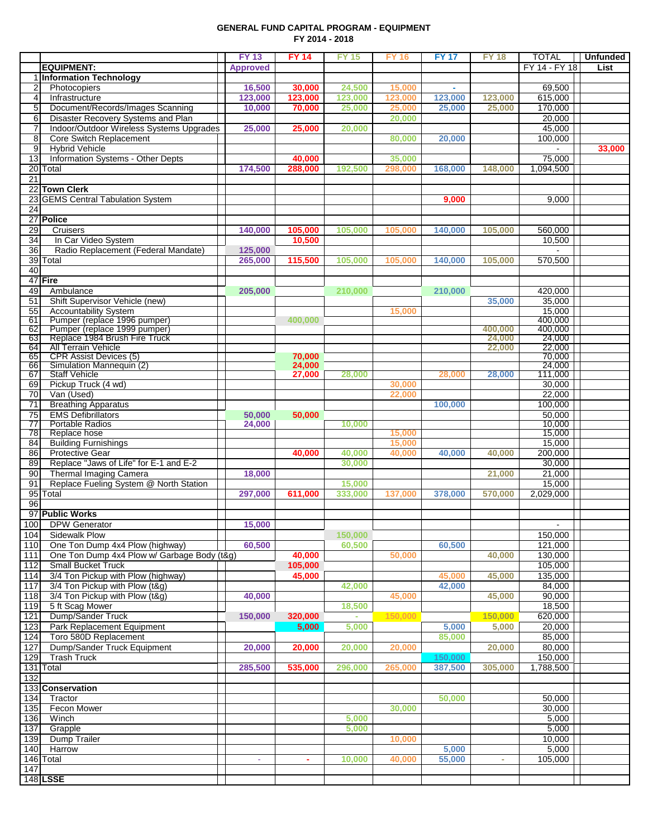#### **GENERAL FUND CAPITAL PROGRAM - EQUIPMENT FY 2014 - 2018**

|                  |                                                                        | <b>FY 13</b>    | <b>FY 14</b>     | <b>FY 15</b>     | <b>FY 16</b>     | <b>FY17</b> | <b>FY 18</b>     | <b>TOTAL</b>      | <b>Unfunded</b> |
|------------------|------------------------------------------------------------------------|-----------------|------------------|------------------|------------------|-------------|------------------|-------------------|-----------------|
|                  | <b>EQUIPMENT:</b>                                                      | <b>Approved</b> |                  |                  |                  |             |                  | FY 14 - FY 18     | List            |
|                  | 1 Information Technology                                               |                 |                  |                  |                  |             |                  |                   |                 |
| $\overline{2}$   | Photocopiers                                                           | 16,500          | 30,000           | 24,500           | 15,000           |             |                  | 69,500            |                 |
| 4                | Infrastructure                                                         | 123,000         | 123,000          | 123,000          | 123,000          | 123,000     | 123,000          | 615,000           |                 |
| 5<br>6           | Document/Records/Images Scanning<br>Disaster Recovery Systems and Plan | 10,000          | 70,000           | 25,000           | 25,000           | 25,000      | 25,000           | 170,000<br>20,000 |                 |
| 7                | Indoor/Outdoor Wireless Systems Upgrades                               | 25,000          | 25,000           | 20,000           | 20,000           |             |                  | 45,000            |                 |
| 8                | Core Switch Replacement                                                |                 |                  |                  | 80,000           | 20,000      |                  | 100,000           |                 |
| 9                | <b>Hybrid Vehicle</b>                                                  |                 |                  |                  |                  |             |                  |                   | 33,000          |
| 13               | Information Systems - Other Depts                                      |                 | 40,000           |                  | 35,000           |             |                  | 75,000            |                 |
|                  | 20 Total                                                               | 174,500         | 288,000          | 192,500          | 298,000          | 168,000     | 148,000          | 1,094,500         |                 |
| 21               |                                                                        |                 |                  |                  |                  |             |                  |                   |                 |
|                  | 22 Town Clerk                                                          |                 |                  |                  |                  |             |                  |                   |                 |
|                  | 23 GEMS Central Tabulation System                                      |                 |                  |                  |                  | 9,000       |                  | 9,000             |                 |
| 24               |                                                                        |                 |                  |                  |                  |             |                  |                   |                 |
|                  | 27 Police                                                              |                 |                  |                  |                  |             |                  |                   |                 |
| 29               | Cruisers                                                               | 140,000         | 105,000          | 105,000          | 105,000          | 140,000     | 105,000          | 560,000           |                 |
| 34               | In Car Video System                                                    |                 | 10,500           |                  |                  |             |                  | 10,500            |                 |
| 36               | Radio Replacement (Federal Mandate)                                    | 125,000         |                  |                  |                  |             |                  |                   |                 |
|                  | 39 Total                                                               | 265,000         | 115,500          | 105,000          | 105,000          | 140,000     | 105,000          | 570,500           |                 |
| 40               | 47 Fire                                                                |                 |                  |                  |                  |             |                  |                   |                 |
| 49               | Ambulance                                                              | 205,000         |                  | 210,000          |                  | 210,000     |                  | 420,000           |                 |
| 51               | Shift Supervisor Vehicle (new)                                         |                 |                  |                  |                  |             | 35,000           | 35.000            |                 |
| 55               | <b>Accountability System</b>                                           |                 |                  |                  | 15,000           |             |                  | 15,000            |                 |
| 61               | Pumper (replace 1996 pumper)                                           |                 | 400,000          |                  |                  |             |                  | 400,000           |                 |
| 62               | Pumper (replace 1999 pumper)                                           |                 |                  |                  |                  |             | 400,000          | 400,000           |                 |
| 63               | Replace 1984 Brush Fire Truck                                          |                 |                  |                  |                  |             | 24,000           | 24,000            |                 |
| 64               | <b>All Terrain Vehicle</b>                                             |                 | 70,000           |                  |                  |             | 22,000           | 22,000<br>70,000  |                 |
| 65<br>66         | <b>CPR Assist Devices (5)</b><br>Simulation Mannequin (2)              |                 | 24,000           |                  |                  |             |                  | 24,000            |                 |
| 67               | <b>Staff Vehicle</b>                                                   |                 | 27,000           | 28,000           |                  | 28,000      | 28,000           | 111,000           |                 |
| 69               | Pickup Truck (4 wd)                                                    |                 |                  |                  | 30,000           |             |                  | 30,000            |                 |
| 70               | Van (Used)                                                             |                 |                  |                  | 22,000           |             |                  | 22,000            |                 |
| 71               | <b>Breathing Apparatus</b>                                             |                 |                  |                  |                  | 100,000     |                  | 100,000           |                 |
| 75               | <b>EMS Defibrillators</b>                                              | 50,000          | 50,000           |                  |                  |             |                  | 50,000            |                 |
| 77               | <b>Portable Radios</b>                                                 | 24,000          |                  | 10,000           |                  |             |                  | 10,000            |                 |
| 78               | Replace hose                                                           |                 |                  |                  | 15,000           |             |                  | 15,000            |                 |
| 84<br>86         | <b>Building Furnishings</b><br><b>Protective Gear</b>                  |                 |                  |                  | 15,000<br>40,000 |             |                  | 15,000<br>200,000 |                 |
| 89               | Replace "Jaws of Life" for E-1 and E-2                                 |                 | 40,000           | 40,000<br>30,000 |                  | 40,000      | 40,000           | 30,000            |                 |
| 90               | Thermal Imaging Camera                                                 | 18,000          |                  |                  |                  |             | 21,000           | 21,000            |                 |
| 91               | Replace Fueling System @ North Station                                 |                 |                  | 15,000           |                  |             |                  | 15,000            |                 |
|                  | 95 Total                                                               | 297,000         | 611,000          | 333,000          | 137,000          | 378,000     | 570,000          | 2,029,000         |                 |
| 96               |                                                                        |                 |                  |                  |                  |             |                  |                   |                 |
|                  | 97 Public Works                                                        |                 |                  |                  |                  |             |                  |                   |                 |
|                  | 100 DPW Generator                                                      | 15,000          |                  |                  |                  |             |                  |                   |                 |
| 104              | Sidewalk Plow                                                          |                 |                  | 150,000          |                  |             |                  | 150,000           |                 |
| 110              | One Ton Dump 4x4 Plow (highway)                                        | 60.500          |                  | 60,500           |                  | 60,500      |                  | 121,000           |                 |
| $\overline{111}$ | One Ton Dump 4x4 Plow w/ Garbage Body (t&g)                            |                 | 40,000           |                  | 50,000           |             | 40,000           | 130,000           |                 |
| 112              | <b>Small Bucket Truck</b>                                              |                 | 105,000          |                  |                  |             |                  | 105,000           |                 |
| 114              | 3/4 Ton Pickup with Plow (highway)                                     |                 | 45,000           |                  |                  | 45,000      | 45,000           | 135,000           |                 |
| 117              | 3/4 Ton Pickup with Plow (t&g)                                         |                 |                  | 42,000           |                  | 42,000      |                  | 84,000            |                 |
| 118              | 3/4 Ton Pickup with Plow (t&g)                                         | 40,000          |                  |                  | 45,000           |             | 45,000           | 90,000            |                 |
| 119              | 5 ft Scag Mower<br>Dump/Sander Truck                                   |                 |                  | 18,500           |                  |             |                  | 18,500            |                 |
| 121<br>123       | Park Replacement Equipment                                             | 150,000         | 320,000<br>5,000 | 5,000            | 150,000          | 5,000       | 150,000<br>5,000 | 620,000<br>20,000 |                 |
| 124              | Toro 580D Replacement                                                  |                 |                  |                  |                  | 85,000      |                  | 85,000            |                 |
| 127              | Dump/Sander Truck Equipment                                            | 20,000          | 20,000           | 20,000           | 20,000           |             | 20,000           | 80,000            |                 |
| 129              | <b>Trash Truck</b>                                                     |                 |                  |                  |                  | 150,000     |                  | 150,000           |                 |
|                  | 131 Total                                                              | 285,500         | 535,000          | 296,000          | 265,000          | 387,500     | 305,000          | 1,788,500         |                 |
| 132              |                                                                        |                 |                  |                  |                  |             |                  |                   |                 |
|                  | 133 Conservation                                                       |                 |                  |                  |                  |             |                  |                   |                 |
| 134              | Tractor                                                                |                 |                  |                  |                  | 50,000      |                  | 50,000            |                 |
| 135              | Fecon Mower                                                            |                 |                  |                  | 30,000           |             |                  | 30,000            |                 |
| 136              | Winch                                                                  |                 |                  | 5,000            |                  |             |                  | 5,000             |                 |
| 137              | Grapple                                                                |                 |                  | 5,000            |                  |             |                  | 5,000             |                 |
| 139              | Dump Trailer                                                           |                 |                  |                  | 10,000           |             |                  | 10,000            |                 |
| 140              | Harrow                                                                 |                 |                  |                  |                  | 5,000       |                  | 5,000             |                 |
|                  | 146 Total                                                              | $\omega$        | ÷                | 10,000           | 40,000           | 55,000      | ×.               | 105,000           |                 |
| 147              |                                                                        |                 |                  |                  |                  |             |                  |                   |                 |
|                  | 148 LSSE                                                               |                 |                  |                  |                  |             |                  |                   |                 |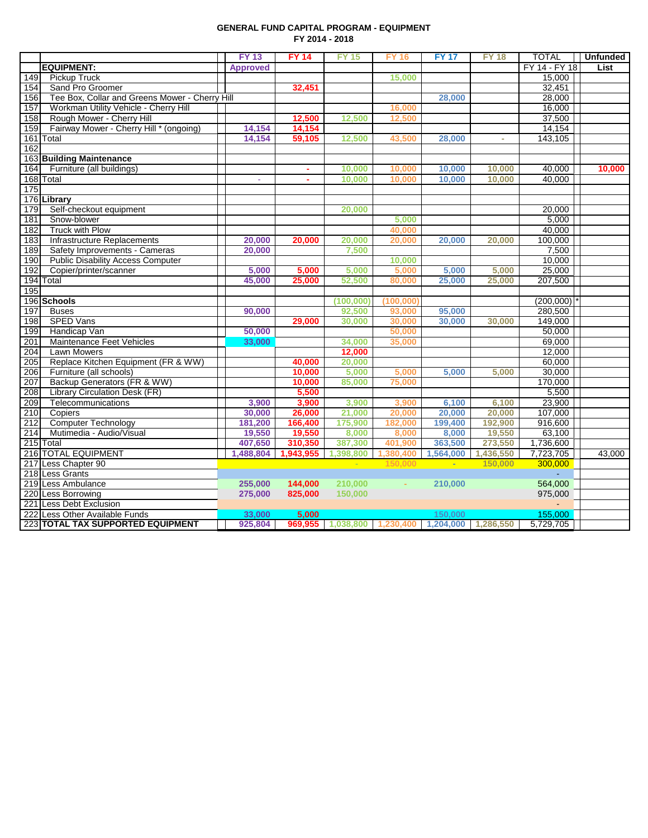#### **GENERAL FUND CAPITAL PROGRAM - EQUIPMENT FY 2014 - 2018**

|     |                                                | <b>FY 13</b>    | <b>FY 14</b> | <b>FY 15</b>      | <b>FY 16</b> | <b>FY17</b> | <b>FY 18</b> | <b>TOTAL</b>  | <b>Unfunded</b> |
|-----|------------------------------------------------|-----------------|--------------|-------------------|--------------|-------------|--------------|---------------|-----------------|
|     | <b>EQUIPMENT:</b>                              | <b>Approved</b> |              |                   |              |             |              | FY 14 - FY 18 | <b>List</b>     |
| 149 | <b>Pickup Truck</b>                            |                 |              |                   | 15,000       |             |              | 15,000        |                 |
| 154 | Sand Pro Groomer                               |                 | 32,451       |                   |              |             |              | 32,451        |                 |
| 156 | Tee Box, Collar and Greens Mower - Cherry Hill |                 |              |                   |              | 28,000      |              | 28,000        |                 |
| 157 | Workman Utility Vehicle - Cherry Hill          |                 |              |                   | 16,000       |             |              | 16,000        |                 |
| 158 | Rough Mower - Cherry Hill                      |                 | 12,500       | 12,500            | 12,500       |             |              | 37,500        |                 |
| 159 | Fairway Mower - Cherry Hill * (ongoing)        | 14,154          | 14,154       |                   |              |             |              | 14,154        |                 |
|     | 161 Total                                      | 14,154          | 59,105       | 12,500            | 43,500       | 28,000      | ×.           | 143,105       |                 |
| 162 |                                                |                 |              |                   |              |             |              |               |                 |
|     | 163 Building Maintenance                       |                 |              |                   |              |             |              |               |                 |
| 164 | Furniture (all buildings)                      |                 | $\mathbf{r}$ | 10,000            | 10,000       | 10,000      | 10,000       | 40,000        | 10,000          |
|     | 168 Total                                      | $\sim$          | ÷            | 10,000            | 10,000       | 10,000      | 10,000       | 40,000        |                 |
| 175 |                                                |                 |              |                   |              |             |              |               |                 |
|     | 176 Library                                    |                 |              |                   |              |             |              |               |                 |
| 179 | Self-checkout equipment                        |                 |              | 20,000            |              |             |              | 20,000        |                 |
| 181 | Snow-blower                                    |                 |              |                   | 5,000        |             |              | 5,000         |                 |
| 182 | <b>Truck with Plow</b>                         |                 |              |                   | 40,000       |             |              | 40,000        |                 |
| 183 | <b>Infrastructure Replacements</b>             | 20,000          | 20,000       | 20,000            | 20,000       | 20,000      | 20,000       | 100,000       |                 |
| 189 | Safety Improvements - Cameras                  | 20,000          |              | 7,500             |              |             |              | 7,500         |                 |
| 190 | <b>Public Disability Access Computer</b>       |                 |              |                   | 10,000       |             |              | 10,000        |                 |
| 192 | Copier/printer/scanner                         | 5,000           | 5,000        | 5,000             | 5,000        | 5,000       | 5,000        | 25,000        |                 |
|     | 194 Total                                      | 45,000          | 25,000       | 52,500            | 80,000       | 25,000      | 25,000       | 207,500       |                 |
| 195 |                                                |                 |              |                   |              |             |              |               |                 |
|     | 196 Schools                                    |                 |              | (100, 000)        | (100, 000)   |             |              | (200,000)     |                 |
| 197 | <b>Buses</b>                                   | 90.000          |              | 92,500            | 93,000       | 95,000      |              | 280,500       |                 |
| 198 | <b>SPED Vans</b>                               |                 | 29,000       | 30,000            | 30,000       | 30,000      | 30,000       | 149,000       |                 |
| 199 | Handicap Van                                   | 50,000          |              |                   | 50,000       |             |              | 50,000        |                 |
| 201 | Maintenance Feet Vehicles                      | 33,000          |              | 34,000            | 35,000       |             |              | 69,000        |                 |
| 204 | Lawn Mowers                                    |                 |              | 12,000            |              |             |              | 12,000        |                 |
| 205 | Replace Kitchen Equipment (FR & WW)            |                 | 40,000       | 20,000            |              |             |              | 60,000        |                 |
| 206 | Furniture (all schools)                        |                 | 10,000       | 5,000             | 5,000        | 5,000       | 5,000        | 30,000        |                 |
| 207 | Backup Generators (FR & WW)                    |                 | 10,000       | 85,000            | 75,000       |             |              | 170,000       |                 |
| 208 | Library Circulation Desk (FR)                  |                 | 5,500        |                   |              |             |              | 5,500         |                 |
| 209 | Telecommunications                             | 3,900           | 3,900        | 3,900             | 3,900        | 6,100       | 6,100        | 23,900        |                 |
| 210 | Copiers                                        | 30,000          | 26,000       | 21,000            | 20,000       | 20,000      | 20,000       | 107,000       |                 |
| 212 | <b>Computer Technology</b>                     | 181,200         | 166,400      | 175,900           | 182,000      | 199,400     | 192,900      | 916,600       |                 |
| 214 | Mutimedia - Audio/Visual                       | 19.550          | 19.550       | 8,000             | 8.000        | 8,000       | 19,550       | 63,100        |                 |
|     | 215 Total                                      | 407,650         | 310,350      | 387,300           | 401,900      | 363,500     | 273,550      | 1,736,600     |                 |
|     | 216 TOTAL EQUIPMENT                            | 1,488,804       | 1,943,955    | 1,398,800         | 1,380,400    | 1,564,000   | 1,436,550    | 7,723,705     | 43,000          |
|     | 217 Less Chapter 90                            |                 |              | $\sim$            | 150,000      | ÷           | 150.000      | 300,000       |                 |
|     | 218 Less Grants                                |                 |              |                   |              |             |              |               |                 |
|     | 219 Less Ambulance                             | 255,000         | 144,000      | 210,000           | ×.           | 210,000     |              | 564,000       |                 |
|     | 220 Less Borrowing                             | 275,000         | 825,000      | 150,000           |              |             |              | 975,000       |                 |
|     | 221 Less Debt Exclusion                        |                 |              |                   |              |             |              |               |                 |
|     | 222 Less Other Available Funds                 | 33,000          | 5,000        |                   |              | 150,000     |              | 155,000       |                 |
|     | 223 TOTAL TAX SUPPORTED EQUIPMENT              | 925,804         |              | 969.955 1.038.800 | 1.230.400    | 1.204.000   | 1.286.550    | 5,729,705     |                 |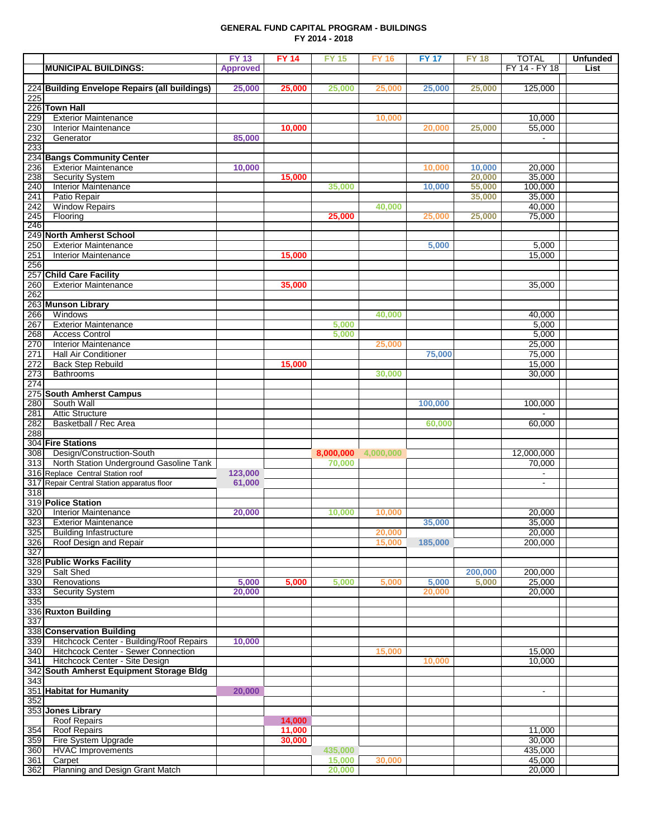#### **GENERAL FUND CAPITAL PROGRAM - BUILDINGS FY 2014 - 2018**

|            |                                                            | <b>FY 13</b>    | <b>FY 14</b>     | <b>FY 15</b> | <b>FY 16</b> | <b>FY 17</b> | <b>FY18</b> | <b>TOTAL</b>     | <b>Unfunded</b> |
|------------|------------------------------------------------------------|-----------------|------------------|--------------|--------------|--------------|-------------|------------------|-----------------|
|            | <b>MUNICIPAL BUILDINGS:</b>                                | <b>Approved</b> |                  |              |              |              |             | FY 14 - FY 18    | <b>List</b>     |
|            |                                                            |                 |                  |              |              |              |             |                  |                 |
|            | 224 Building Envelope Repairs (all buildings)              | 25,000          | 25,000           | 25,000       | 25,000       | 25,000       | 25,000      | 125,000          |                 |
| 225        |                                                            |                 |                  |              |              |              |             |                  |                 |
|            | 226 Town Hall                                              |                 |                  |              |              |              |             |                  |                 |
| 229<br>230 | <b>Exterior Maintenance</b><br><b>Interior Maintenance</b> |                 | 10,000           |              | 10,000       | 20.000       |             | 10,000           |                 |
| 232        | Generator                                                  | 85,000          |                  |              |              |              | 25,000      | 55,000           |                 |
| 233        |                                                            |                 |                  |              |              |              |             |                  |                 |
|            | 234 Bangs Community Center                                 |                 |                  |              |              |              |             |                  |                 |
| 236        | Exterior Maintenance                                       | 10,000          |                  |              |              | 10,000       | 10,000      | 20,000           |                 |
| 238        | <b>Security System</b>                                     |                 | 15,000           |              |              |              | 20,000      | 35,000           |                 |
| 240        | <b>Interior Maintenance</b>                                |                 |                  | 35,000       |              | 10,000       | 55,000      | 100,000          |                 |
| 241        | Patio Repair                                               |                 |                  |              |              |              | 35,000      | 35,000           |                 |
| 242        | <b>Window Repairs</b>                                      |                 |                  |              | 40,000       |              |             | 40,000           |                 |
| 245        | Flooring                                                   |                 |                  | 25,000       |              | 25,000       | 25,000      | 75,000           |                 |
| 246        |                                                            |                 |                  |              |              |              |             |                  |                 |
|            | 249 North Amherst School                                   |                 |                  |              |              |              |             |                  |                 |
| 250        | <b>Exterior Maintenance</b><br><b>Interior Maintenance</b> |                 |                  |              |              | 5,000        |             | 5,000            |                 |
| 251<br>256 |                                                            |                 | 15,000           |              |              |              |             | 15,000           |                 |
|            | 257 Child Care Facility                                    |                 |                  |              |              |              |             |                  |                 |
| 260        | <b>Exterior Maintenance</b>                                |                 | 35,000           |              |              |              |             | 35,000           |                 |
| 262        |                                                            |                 |                  |              |              |              |             |                  |                 |
|            | 263 Munson Library                                         |                 |                  |              |              |              |             |                  |                 |
| 266        | Windows                                                    |                 |                  |              | 40,000       |              |             | 40,000           |                 |
| 267        | <b>Exterior Maintenance</b>                                |                 |                  | 5,000        |              |              |             | 5,000            |                 |
| 268        | <b>Access Control</b>                                      |                 |                  | 5,000        |              |              |             | 5,000            |                 |
| 270        | <b>Interior Maintenance</b>                                |                 |                  |              | 25,000       |              |             | 25,000           |                 |
| 271        | <b>Hall Air Conditioner</b>                                |                 |                  |              |              | 75,000       |             | 75,000           |                 |
| 272        | <b>Back Step Rebuild</b>                                   |                 | 15,000           |              |              |              |             | 15,000           |                 |
| 273        | Bathrooms                                                  |                 |                  |              | 30,000       |              |             | 30,000           |                 |
| 274        |                                                            |                 |                  |              |              |              |             |                  |                 |
| 280        | 275 South Amherst Campus<br>South Wall                     |                 |                  |              |              | 100,000      |             | 100,000          |                 |
| 281        | <b>Attic Structure</b>                                     |                 |                  |              |              |              |             |                  |                 |
| 282        | Basketball / Rec Area                                      |                 |                  |              |              | 60,000       |             | 60,000           |                 |
| 288        |                                                            |                 |                  |              |              |              |             |                  |                 |
|            | 304 Fire Stations                                          |                 |                  |              |              |              |             |                  |                 |
| 308        | Design/Construction-South                                  |                 |                  | 8,000,000    | 4,000,000    |              |             | 12,000,000       |                 |
| 313        | North Station Underground Gasoline Tank                    |                 |                  | 70,000       |              |              |             | 70,000           |                 |
|            | 316 Replace Central Station roof                           | 123,000         |                  |              |              |              |             |                  |                 |
|            | 317 Repair Central Station apparatus floor                 | 61,000          |                  |              |              |              |             |                  |                 |
| 318        |                                                            |                 |                  |              |              |              |             |                  |                 |
|            | 319 Police Station                                         |                 |                  |              |              |              |             |                  |                 |
| 320<br>323 | <b>Interior Maintenance</b><br><b>Exterior Maintenance</b> | 20,000          |                  | 10,000       | 10,000       | 35,000       |             | 20.000<br>35,000 |                 |
| 325        | <b>Building Infastructure</b>                              |                 |                  |              | 20,000       |              |             | 20,000           |                 |
| 326        | Roof Design and Repair                                     |                 |                  |              | 15,000       | 185,000      |             | 200,000          |                 |
| 327        |                                                            |                 |                  |              |              |              |             |                  |                 |
|            | 328 Public Works Facility                                  |                 |                  |              |              |              |             |                  |                 |
| 329        | Salt Shed                                                  |                 |                  |              |              |              | 200,000     | 200,000          |                 |
| 330        | Renovations                                                | 5,000           | 5,000            | 5,000        | 5,000        | 5,000        | 5,000       | 25,000           |                 |
| 333        | <b>Security System</b>                                     | 20,000          |                  |              |              | 20,000       |             | 20,000           |                 |
| 335        |                                                            |                 |                  |              |              |              |             |                  |                 |
|            | 336 Ruxton Building                                        |                 |                  |              |              |              |             |                  |                 |
| 337        | 338 Conservation Building                                  |                 |                  |              |              |              |             |                  |                 |
| 339        | Hitchcock Center - Building/Roof Repairs                   | 10,000          |                  |              |              |              |             |                  |                 |
| 340        | Hitchcock Center - Sewer Connection                        |                 |                  |              | 15,000       |              |             | 15,000           |                 |
| 341        | Hitchcock Center - Site Design                             |                 |                  |              |              | 10,000       |             | 10,000           |                 |
|            | 342 South Amherst Equipment Storage Bldg                   |                 |                  |              |              |              |             |                  |                 |
| 343        |                                                            |                 |                  |              |              |              |             |                  |                 |
|            | 351 Habitat for Humanity                                   | 20,000          |                  |              |              |              |             | $\blacksquare$   |                 |
| 352        |                                                            |                 |                  |              |              |              |             |                  |                 |
|            | 353 Jones Library                                          |                 |                  |              |              |              |             |                  |                 |
|            | <b>Roof Repairs</b>                                        |                 | 14,000           |              |              |              |             |                  |                 |
| 354<br>359 | <b>Roof Repairs</b><br>Fire System Upgrade                 |                 | 11,000<br>30,000 |              |              |              |             | 11,000<br>30,000 |                 |
| 360        | <b>HVAC Improvements</b>                                   |                 |                  | 435,000      |              |              |             | 435,000          |                 |
| 361        | Carpet                                                     |                 |                  | 15,000       | 30,000       |              |             | 45,000           |                 |
| 362        | Planning and Design Grant Match                            |                 |                  | 20,000       |              |              |             | 20,000           |                 |
|            |                                                            |                 |                  |              |              |              |             |                  |                 |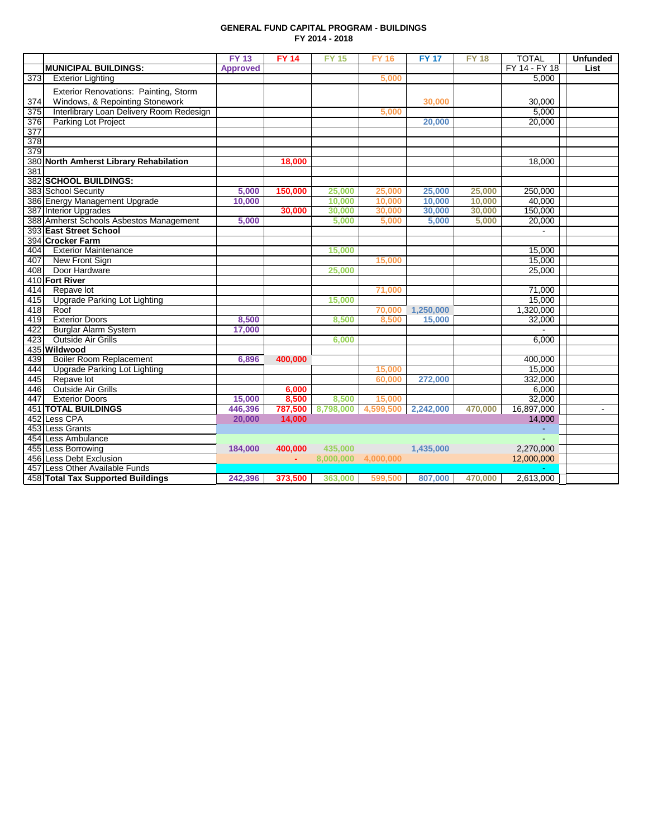#### **GENERAL FUND CAPITAL PROGRAM - BUILDINGS FY 2014 - 2018**

|     |                                          | <b>FY 13</b>    | <b>FY 14</b> | <b>FY 15</b> | <b>FY 16</b> | <b>FY 17</b> | <b>FY 18</b> | <b>TOTAL</b>  | <b>Unfunded</b> |
|-----|------------------------------------------|-----------------|--------------|--------------|--------------|--------------|--------------|---------------|-----------------|
|     | <b>MUNICIPAL BUILDINGS:</b>              | <b>Approved</b> |              |              |              |              |              | FY 14 - FY 18 | List            |
| 373 | <b>Exterior Lighting</b>                 |                 |              |              | 5,000        |              |              | 5,000         |                 |
|     | Exterior Renovations: Painting, Storm    |                 |              |              |              |              |              |               |                 |
| 374 | Windows, & Repointing Stonework          |                 |              |              |              | 30,000       |              | 30,000        |                 |
| 375 | Interlibrary Loan Delivery Room Redesign |                 |              |              | 5,000        |              |              | 5.000         |                 |
| 376 | Parking Lot Project                      |                 |              |              |              | 20,000       |              | 20,000        |                 |
| 377 |                                          |                 |              |              |              |              |              |               |                 |
| 378 |                                          |                 |              |              |              |              |              |               |                 |
| 379 |                                          |                 |              |              |              |              |              |               |                 |
|     | 380 North Amherst Library Rehabilation   |                 | 18,000       |              |              |              |              | 18,000        |                 |
| 381 |                                          |                 |              |              |              |              |              |               |                 |
|     | 382 SCHOOL BUILDINGS:                    |                 |              |              |              |              |              |               |                 |
|     | 383 School Security                      | 5.000           | 150,000      | 25,000       | 25,000       | 25,000       | 25,000       | 250,000       |                 |
|     | 386 Energy Management Upgrade            | 10,000          |              | 10,000       | 10,000       | 10,000       | 10,000       | 40,000        |                 |
|     | 387 Interior Upgrades                    |                 | 30,000       | 30,000       | 30,000       | 30,000       | 30,000       | 150,000       |                 |
|     | 388 Amherst Schools Asbestos Management  | 5,000           |              | 5,000        | 5,000        | 5,000        | 5,000        | 20,000        |                 |
|     | 393 East Street School                   |                 |              |              |              |              |              |               |                 |
|     | 394 Crocker Farm                         |                 |              |              |              |              |              |               |                 |
| 404 | <b>Exterior Maintenance</b>              |                 |              | 15,000       |              |              |              | 15.000        |                 |
| 407 | New Front Sign                           |                 |              |              | 15,000       |              |              | 15,000        |                 |
| 408 | Door Hardware                            |                 |              | 25,000       |              |              |              | 25,000        |                 |
|     | 410 Fort River                           |                 |              |              |              |              |              |               |                 |
| 414 | Repave lot                               |                 |              |              | 71,000       |              |              | 71,000        |                 |
| 415 | <b>Upgrade Parking Lot Lighting</b>      |                 |              | 15,000       |              |              |              | 15,000        |                 |
| 418 | Roof                                     |                 |              |              | 70,000       | 1,250,000    |              | 1,320,000     |                 |
| 419 | <b>Exterior Doors</b>                    | 8,500           |              | 8,500        | 8,500        | 15,000       |              | 32,000        |                 |
| 422 | <b>Burglar Alarm System</b>              | 17,000          |              |              |              |              |              |               |                 |
| 423 | Outside Air Grills                       |                 |              | 6,000        |              |              |              | 6,000         |                 |
|     | 435 Wildwood                             |                 |              |              |              |              |              |               |                 |
| 439 | <b>Boiler Room Replacement</b>           | 6,896           | 400,000      |              |              |              |              | 400,000       |                 |
| 444 | <b>Upgrade Parking Lot Lighting</b>      |                 |              |              | 15,000       |              |              | 15,000        |                 |
| 445 | Repave lot                               |                 |              |              | 60,000       | 272,000      |              | 332,000       |                 |
| 446 | <b>Outside Air Grills</b>                |                 | 6,000        |              |              |              |              | 6,000         |                 |
| 447 | <b>Exterior Doors</b>                    | 15,000          | 8,500        | 8.500        | 15,000       |              |              | 32,000        |                 |
|     | <b>451 TOTAL BUILDINGS</b>               | 446,396         | 787,500      | 8,798,000    | 4,599,500    | 2,242,000    | 470,000      | 16,897,000    |                 |
|     | 452 Less CPA                             | 20.000          | 14.000       |              |              |              |              | 14,000        |                 |
|     | 453 Less Grants                          |                 |              |              |              |              |              |               |                 |
|     | 454 Less Ambulance                       |                 |              |              |              |              |              |               |                 |
|     | 455 Less Borrowing                       | 184,000         | 400,000      | 435,000      |              | 1,435,000    |              | 2,270,000     |                 |
|     | 456 Less Debt Exclusion                  |                 | A.           | 8,000,000    | 4,000,000    |              |              | 12,000,000    |                 |
|     | 457 Less Other Available Funds           |                 |              |              |              |              |              |               |                 |
|     | 458 Total Tax Supported Buildings        | 242,396         | 373,500      | 363,000      | 599,500      | 807,000      | 470,000      | 2,613,000     |                 |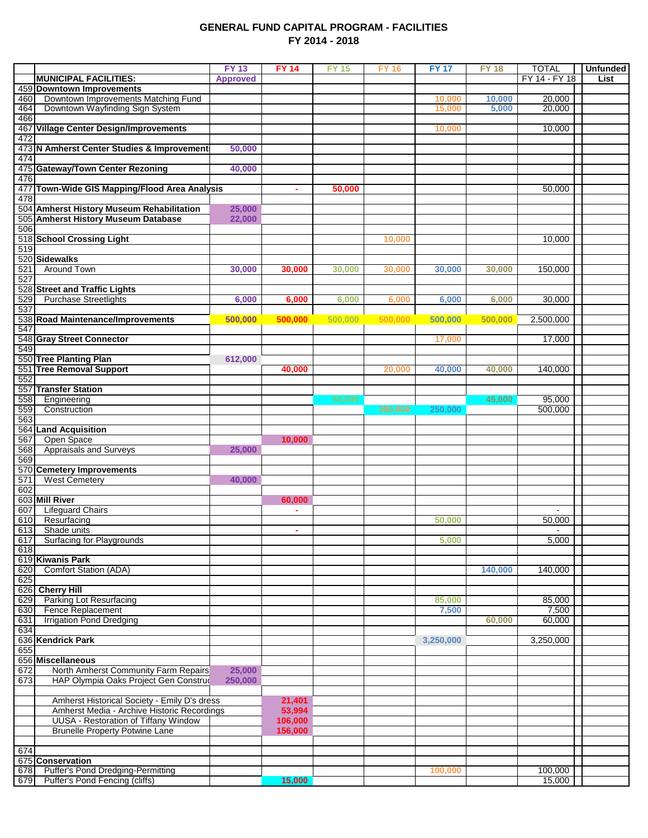### **GENERAL FUND CAPITAL PROGRAM - FACILITIES FY 2014 - 2018**

|            |                                                                                            | <b>FY13</b>     | <b>FY 14</b>      | <b>FY 15</b> | <b>FY 16</b> | <b>FY 17</b> | <b>FY 18</b> | <b>TOTAL</b>    | <b>Unfunded</b> |
|------------|--------------------------------------------------------------------------------------------|-----------------|-------------------|--------------|--------------|--------------|--------------|-----------------|-----------------|
|            | <b>MUNICIPAL FACILITIES:</b>                                                               | <b>Approved</b> |                   |              |              |              |              | FY 14 - FY 18   | List            |
|            | 459 Downtown Improvements                                                                  |                 |                   |              |              |              |              |                 |                 |
| 460        | Downtown Improvements Matching Fund                                                        |                 |                   |              |              | 10,000       | 10,000       | 20,000          |                 |
| 464        | Downtown Wayfinding Sign System                                                            |                 |                   |              |              | 15,000       | 5,000        | 20,000          |                 |
| 466        | 467 Village Center Design/Improvements                                                     |                 |                   |              |              | 10,000       |              | 10,000          |                 |
| 472        |                                                                                            |                 |                   |              |              |              |              |                 |                 |
|            | 473 N Amherst Center Studies & Improvement                                                 | 50,000          |                   |              |              |              |              |                 |                 |
| 474        |                                                                                            |                 |                   |              |              |              |              |                 |                 |
|            | 475 Gateway/Town Center Rezoning                                                           | 40,000          |                   |              |              |              |              |                 |                 |
| 476        |                                                                                            |                 |                   |              |              |              |              |                 |                 |
|            | 477 Town-Wide GIS Mapping/Flood Area Analysis                                              |                 | ٠                 | 50,000       |              |              |              | 50,000          |                 |
| 478        |                                                                                            |                 |                   |              |              |              |              |                 |                 |
|            | 504 Amherst History Museum Rehabilitation                                                  | 25,000          |                   |              |              |              |              |                 |                 |
| 506        | 505 Amherst History Museum Database                                                        | 22,000          |                   |              |              |              |              |                 |                 |
|            | 518 School Crossing Light                                                                  |                 |                   |              | 10,000       |              |              | 10,000          |                 |
| 519        |                                                                                            |                 |                   |              |              |              |              |                 |                 |
|            | 520 Sidewalks                                                                              |                 |                   |              |              |              |              |                 |                 |
| 521        | Around Town                                                                                | 30,000          | 30,000            | 30,000       | 30,000       | 30,000       | 30,000       | 150,000         |                 |
| 527        |                                                                                            |                 |                   |              |              |              |              |                 |                 |
|            | 528 Street and Traffic Lights                                                              |                 |                   |              |              |              |              |                 |                 |
| 529        | <b>Purchase Streetlights</b>                                                               | 6,000           | 6,000             | 6,000        | 6,000        | 6,000        | 6,000        | 30,000          |                 |
| 537        |                                                                                            |                 |                   |              |              | 500.000      |              |                 |                 |
| 547        | 538 Road Maintenance/Improvements                                                          | 500,000         | 500,000           | 500,000      | 500,000      |              | 500,000      | 2,500,000       |                 |
|            | 548 Gray Street Connector                                                                  |                 |                   |              |              | 17,000       |              | 17,000          |                 |
| 549        |                                                                                            |                 |                   |              |              |              |              |                 |                 |
|            | 550 Tree Planting Plan                                                                     | 612,000         |                   |              |              |              |              |                 |                 |
|            | 551 Tree Removal Support                                                                   |                 | 40,000            |              | 20,000       | 40,000       | 40,000       | 140,000         |                 |
| 552        |                                                                                            |                 |                   |              |              |              |              |                 |                 |
|            | 557 Transfer Station                                                                       |                 |                   |              |              |              |              |                 |                 |
| 558        | Engineering                                                                                |                 |                   | 50,000       |              |              | 45,000       | 95,000          |                 |
| 559        | Construction                                                                               |                 |                   |              | 250.000      | 250,000      |              | 500,000         |                 |
| 563        | 564 Land Acquisition                                                                       |                 |                   |              |              |              |              |                 |                 |
| 567        | Open Space                                                                                 |                 | 10,000            |              |              |              |              |                 |                 |
| 568        | <b>Appraisals and Surveys</b>                                                              | 25,000          |                   |              |              |              |              |                 |                 |
| 569        |                                                                                            |                 |                   |              |              |              |              |                 |                 |
|            | 570 Cemetery Improvements                                                                  |                 |                   |              |              |              |              |                 |                 |
| 571        | <b>West Cemetery</b>                                                                       | 40,000          |                   |              |              |              |              |                 |                 |
| 602        |                                                                                            |                 |                   |              |              |              |              |                 |                 |
|            | 603 Mill River                                                                             |                 | 60,000            |              |              |              |              |                 |                 |
| 607        | <b>Lifeguard Chairs</b>                                                                    |                 | ÷.                |              |              |              |              |                 |                 |
| 610<br>613 | Resurfacing<br>Shade units                                                                 |                 | ٠                 |              |              | 50,000       |              | 50,000          |                 |
| 617        | <b>Surfacing for Playgrounds</b>                                                           |                 |                   |              |              | 5,000        |              | 5,000           |                 |
| 618        |                                                                                            |                 |                   |              |              |              |              |                 |                 |
|            | 619 Kiwanis Park                                                                           |                 |                   |              |              |              |              |                 |                 |
| 620        | <b>Comfort Station (ADA)</b>                                                               |                 |                   |              |              |              | 140,000      | 140,000         |                 |
| 625        |                                                                                            |                 |                   |              |              |              |              |                 |                 |
|            | 626 Cherry Hill                                                                            |                 |                   |              |              |              |              |                 |                 |
| 629        | <b>Parking Lot Resurfacing</b>                                                             |                 |                   |              |              | 85,000       |              | 85,000          |                 |
| 630<br>631 | Fence Replacement<br><b>Irrigation Pond Dredging</b>                                       |                 |                   |              |              | 7,500        | 60,000       | 7,500<br>60,000 |                 |
| 634        |                                                                                            |                 |                   |              |              |              |              |                 |                 |
|            | 636 Kendrick Park                                                                          |                 |                   |              |              | 3,250,000    |              | 3,250,000       |                 |
| 655        |                                                                                            |                 |                   |              |              |              |              |                 |                 |
|            | 656 Miscellaneous                                                                          |                 |                   |              |              |              |              |                 |                 |
| 672        | North Amherst Community Farm Repairs                                                       | 25,000          |                   |              |              |              |              |                 |                 |
| 673        | HAP Olympia Oaks Project Gen Construc                                                      | 250,000         |                   |              |              |              |              |                 |                 |
|            |                                                                                            |                 |                   |              |              |              |              |                 |                 |
|            | Amherst Historical Society - Emily D's dress                                               |                 | 21,401            |              |              |              |              |                 |                 |
|            | Amherst Media - Archive Historic Recordings<br><b>UUSA - Restoration of Tiffany Window</b> |                 | 53,994<br>106,000 |              |              |              |              |                 |                 |
|            | <b>Brunelle Property Potwine Lane</b>                                                      |                 | 156,000           |              |              |              |              |                 |                 |
|            |                                                                                            |                 |                   |              |              |              |              |                 |                 |
| 674        |                                                                                            |                 |                   |              |              |              |              |                 |                 |
|            | 675 Conservation                                                                           |                 |                   |              |              |              |              |                 |                 |
|            | 678 Puffer's Pond Dredging-Permitting                                                      |                 |                   |              |              | 100,000      |              | 100,000         |                 |
| 679        | <b>Puffer's Pond Fencing (cliffs)</b>                                                      |                 | 15,000            |              |              |              |              | 15,000          |                 |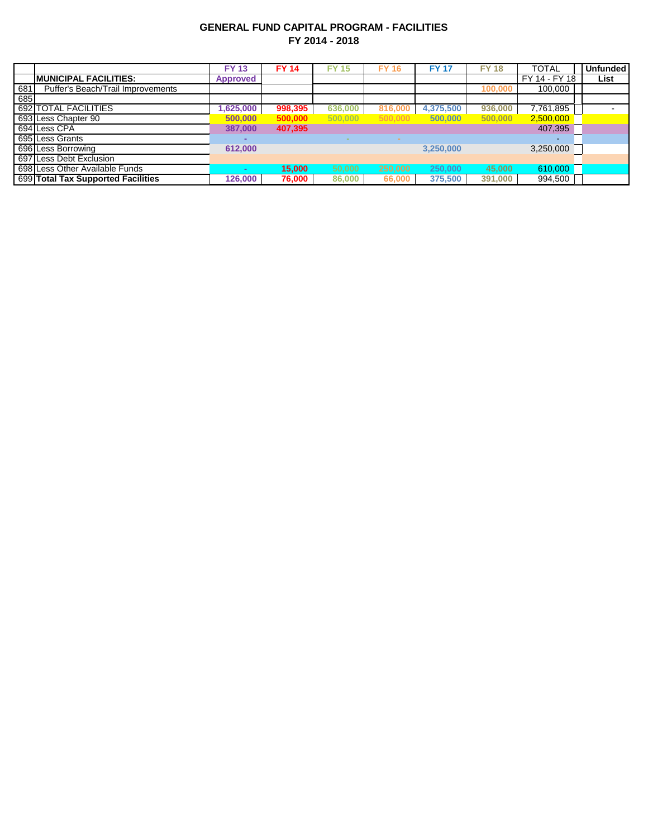## **GENERAL FUND CAPITAL PROGRAM - FACILITIES FY 2014 - 2018**

|     |                                    | <b>FY 13</b>     | <b>FY 14</b> | <b>FY 15</b> | <b>FY 16</b> | <b>FY 17</b> | <b>FY 18</b> | <b>TOTAL</b>  | <b>Unfunded</b> |
|-----|------------------------------------|------------------|--------------|--------------|--------------|--------------|--------------|---------------|-----------------|
|     | <b>IMUNICIPAL FACILITIES:</b>      | <b>Approved</b>  |              |              |              |              |              | FY 14 - FY 18 | List            |
| 681 | Puffer's Beach/Trail Improvements  |                  |              |              |              |              | 100.000      | 100,000       |                 |
| 685 |                                    |                  |              |              |              |              |              |               |                 |
|     | 692 TOTAL FACILITIES               | $\sqrt{625,000}$ | 998,395      | 636,000      | 816,000      | 4,375,500    | 936.000      | 7,761,895     |                 |
|     | 693 Less Chapter 90                | 500,000          | 500,000      | 500,000      | 500,000      | 500.000      | 500,000      | 2,500,000     |                 |
|     | 694 Less CPA                       | 387,000          | 407,395      |              |              |              |              | 407,395       |                 |
|     | 695 Less Grants                    |                  |              |              |              |              |              | $\sim$        |                 |
|     | 696 Less Borrowing                 | 612,000          |              |              |              | 3.250.000    |              | 3,250,000     |                 |
|     | 697 Less Debt Exclusion            |                  |              |              |              |              |              |               |                 |
|     | 698 Less Other Available Funds     |                  | 15,000       | 50,000       | 250,000      | 250,000      | 45,000       | 610,000       |                 |
|     | 699 Total Tax Supported Facilities | 126,000          | 76,000       | 86,000       | 66,000       | 375,500      | 391,000      | 994,500       |                 |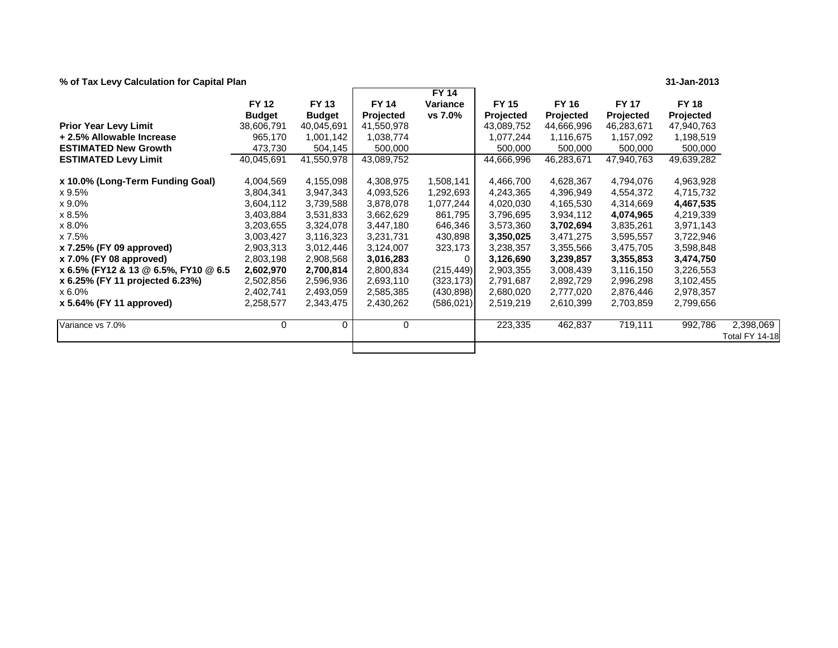**% of Tax Levy Calculation for Capital Plan 31-Jan-2013**

|                                      |               |               |                  | <b>FY 14</b> |                  |                  |                  |                  |                                    |
|--------------------------------------|---------------|---------------|------------------|--------------|------------------|------------------|------------------|------------------|------------------------------------|
|                                      | <b>FY 12</b>  | <b>FY 13</b>  | <b>FY 14</b>     | Variance     | <b>FY 15</b>     | <b>FY 16</b>     | <b>FY 17</b>     | <b>FY 18</b>     |                                    |
|                                      | <b>Budget</b> | <b>Budget</b> | <b>Projected</b> | vs 7.0%      | <b>Projected</b> | <b>Projected</b> | <b>Projected</b> | <b>Projected</b> |                                    |
| <b>Prior Year Levy Limit</b>         | 38,606,791    | 40,045,691    | 41,550,978       |              | 43,089,752       | 44,666,996       | 46,283,671       | 47,940,763       |                                    |
| + 2.5% Allowable Increase            | 965,170       | 1,001,142     | 1,038,774        |              | 1,077,244        | 1,116,675        | 1,157,092        | 1,198,519        |                                    |
| <b>ESTIMATED New Growth</b>          | 473,730       | 504,145       | 500,000          |              | 500,000          | 500,000          | 500,000          | 500,000          |                                    |
| <b>ESTIMATED Levy Limit</b>          | 40,045,691    | 41,550,978    | 43,089,752       |              | 44,666,996       | 46,283,671       | 47,940,763       | 49,639,282       |                                    |
| x 10.0% (Long-Term Funding Goal)     | 4,004,569     | 4,155,098     | 4,308,975        | 1,508,141    | 4,466,700        | 4,628,367        | 4,794,076        | 4,963,928        |                                    |
| x 9.5%                               | 3,804,341     | 3,947,343     | 4,093,526        | 1,292,693    | 4,243,365        | 4,396,949        | 4,554,372        | 4,715,732        |                                    |
| x 9.0%                               | 3,604,112     | 3,739,588     | 3,878,078        | 1,077,244    | 4,020,030        | 4,165,530        | 4,314,669        | 4,467,535        |                                    |
| x 8.5%                               | 3,403,884     | 3,531,833     | 3,662,629        | 861,795      | 3,796,695        | 3,934,112        | 4,074,965        | 4,219,339        |                                    |
| x 8.0%                               | 3,203,655     | 3,324,078     | 3,447,180        | 646,346      | 3,573,360        | 3,702,694        | 3,835,261        | 3,971,143        |                                    |
| x 7.5%                               | 3,003,427     | 3,116,323     | 3,231,731        | 430,898      | 3,350,025        | 3,471,275        | 3,595,557        | 3,722,946        |                                    |
| x 7.25% (FY 09 approved)             | 2,903,313     | 3,012,446     | 3,124,007        | 323,173      | 3,238,357        | 3,355,566        | 3,475,705        | 3,598,848        |                                    |
| x 7.0% (FY 08 approved)              | 2,803,198     | 2,908,568     | 3,016,283        | 0            | 3,126,690        | 3,239,857        | 3,355,853        | 3,474,750        |                                    |
| x 6.5% (FY12 & 13 @ 6.5%, FY10 @ 6.5 | 2,602,970     | 2,700,814     | 2,800,834        | (215, 449)   | 2,903,355        | 3,008,439        | 3,116,150        | 3,226,553        |                                    |
| x 6.25% (FY 11 projected 6.23%)      | 2,502,856     | 2,596,936     | 2,693,110        | (323, 173)   | 2,791,687        | 2,892,729        | 2,996,298        | 3,102,455        |                                    |
| x 6.0%                               | 2,402,741     | 2,493,059     | 2,585,385        | (430, 898)   | 2,680,020        | 2,777,020        | 2,876,446        | 2,978,357        |                                    |
| x 5.64% (FY 11 approved)             | 2,258,577     | 2,343,475     | 2,430,262        | (586, 021)   | 2,519,219        | 2,610,399        | 2,703,859        | 2,799,656        |                                    |
| Variance vs 7.0%                     | 0             | 0             | 0                |              | 223,335          | 462,837          | 719,111          | 992,786          | 2,398,069<br><b>Total FY 14-18</b> |
|                                      |               |               |                  |              |                  |                  |                  |                  |                                    |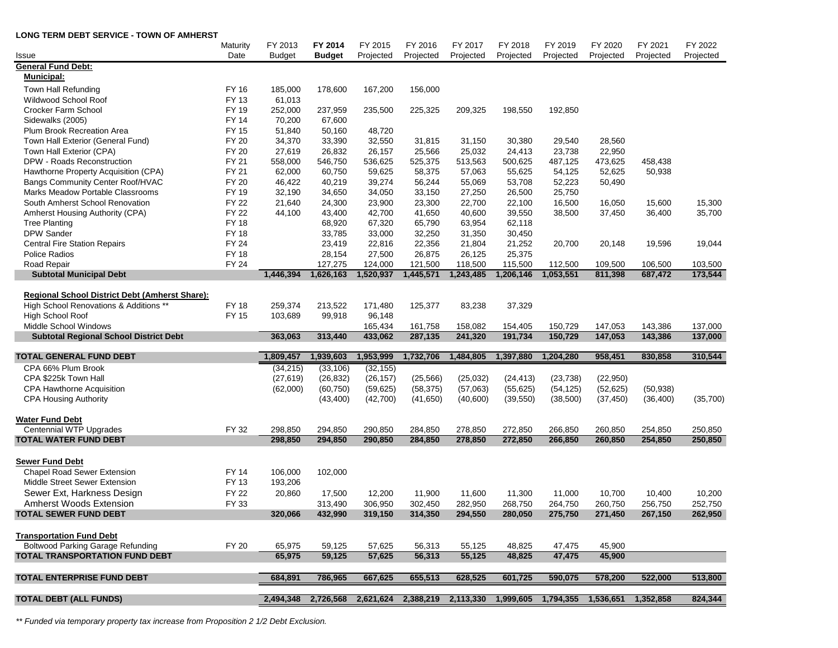| LUNG TERM DEBT SERVICE - TUWN OF AMHERST                            | Maturity                    | FY 2013            | FY 2014                                                                                   | FY 2015            | FY 2016            | FY 2017            | FY 2018            | FY 2019            | FY 2020            | FY 2021            | FY 2022            |
|---------------------------------------------------------------------|-----------------------------|--------------------|-------------------------------------------------------------------------------------------|--------------------|--------------------|--------------------|--------------------|--------------------|--------------------|--------------------|--------------------|
| Issue                                                               | Date                        | <b>Budget</b>      | <b>Budget</b>                                                                             | Projected          | Projected          | Projected          | Projected          | Projected          | Projected          | Projected          | Projected          |
| <b>General Fund Debt:</b>                                           |                             |                    |                                                                                           |                    |                    |                    |                    |                    |                    |                    |                    |
| Municipal:                                                          |                             |                    |                                                                                           |                    |                    |                    |                    |                    |                    |                    |                    |
| Town Hall Refunding                                                 | <b>FY 16</b>                | 185,000            | 178,600                                                                                   | 167,200            | 156,000            |                    |                    |                    |                    |                    |                    |
| Wildwood School Roof                                                | FY 13                       | 61,013             |                                                                                           |                    |                    |                    |                    |                    |                    |                    |                    |
| Crocker Farm School                                                 | FY 19                       | 252,000            | 237,959                                                                                   | 235,500            | 225,325            | 209,325            | 198,550            | 192,850            |                    |                    |                    |
| Sidewalks (2005)                                                    | <b>FY 14</b>                | 70,200             | 67,600                                                                                    |                    |                    |                    |                    |                    |                    |                    |                    |
| Plum Brook Recreation Area                                          | <b>FY 15</b>                | 51,840             | 50,160                                                                                    | 48,720             |                    |                    |                    |                    |                    |                    |                    |
| Town Hall Exterior (General Fund)                                   | <b>FY 20</b>                | 34,370             | 33,390                                                                                    | 32,550             | 31,815             | 31,150             | 30,380             | 29,540             | 28,560             |                    |                    |
| Town Hall Exterior (CPA)                                            | <b>FY 20</b>                | 27,619             | 26,832                                                                                    | 26,157             | 25,566             | 25,032             | 24,413             | 23,738             | 22,950             |                    |                    |
| DPW - Roads Reconstruction                                          | FY 21                       | 558,000            | 546,750                                                                                   | 536,625            | 525,375            | 513,563            | 500,625            | 487,125            | 473,625            | 458,438            |                    |
| Hawthorne Property Acquisition (CPA)                                | FY 21                       | 62,000             | 60,750                                                                                    | 59,625             | 58,375             | 57,063             | 55,625             | 54,125             | 52,625             | 50,938             |                    |
| Bangs Community Center Roof/HVAC                                    | FY 20                       | 46,422             | 40,219                                                                                    | 39,274             | 56,244             | 55,069             | 53,708             | 52,223             | 50,490             |                    |                    |
| Marks Meadow Portable Classrooms                                    | FY 19<br><b>FY 22</b>       | 32,190             | 34,650                                                                                    | 34,050             | 33,150             | 27,250             | 26,500             | 25,750             |                    |                    |                    |
| South Amherst School Renovation                                     |                             | 21,640             | 24,300                                                                                    | 23,900             | 23,300             | 22,700             | 22,100             | 16,500             | 16,050             | 15,600             | 15,300             |
| Amherst Housing Authority (CPA)                                     | <b>FY 22</b><br><b>FY18</b> | 44,100             | 43,400                                                                                    | 42,700             | 41,650             | 40,600             | 39,550             | 38,500             | 37,450             | 36,400             | 35,700             |
| <b>Tree Planting</b>                                                |                             |                    | 68,920                                                                                    | 67,320             | 65,790             | 63,954             | 62,118             |                    |                    |                    |                    |
| <b>DPW Sander</b><br><b>Central Fire Station Repairs</b>            | <b>FY18</b><br><b>FY 24</b> |                    | 33,785<br>23,419                                                                          | 33,000<br>22,816   | 32,250<br>22,356   | 31,350<br>21,804   | 30,450<br>21,252   | 20,700             | 20,148             | 19,596             | 19,044             |
| <b>Police Radios</b>                                                | <b>FY18</b>                 |                    | 28,154                                                                                    | 27,500             | 26,875             | 26,125             | 25,375             |                    |                    |                    |                    |
| Road Repair                                                         | <b>FY 24</b>                |                    | 127,275                                                                                   | 124,000            | 121,500            | 118,500            | 115,500            | 112,500            | 109,500            | 106,500            | 103,500            |
| <b>Subtotal Municipal Debt</b>                                      |                             | 1,446,394          | 1,626,163                                                                                 | 1,520,937          | 1,445,571          | 1,243,485          | 1,206,146          | 1,053,551          | 811,398            | 687,472            | 173,544            |
|                                                                     |                             |                    |                                                                                           |                    |                    |                    |                    |                    |                    |                    |                    |
| Regional School District Debt (Amherst Share):                      |                             |                    |                                                                                           |                    |                    |                    |                    |                    |                    |                    |                    |
| High School Renovations & Additions **                              | <b>FY18</b>                 | 259,374            | 213,522                                                                                   | 171,480            | 125,377            | 83,238             | 37,329             |                    |                    |                    |                    |
| High School Roof                                                    | <b>FY 15</b>                | 103,689            | 99,918                                                                                    | 96,148             |                    |                    |                    |                    |                    |                    |                    |
| Middle School Windows                                               |                             |                    |                                                                                           | 165,434            | 161,758            | 158,082            | 154,405            | 150,729            | 147,053            | 143,386            | 137,000            |
| <b>Subtotal Regional School District Debt</b>                       |                             | 363,063            | 313,440                                                                                   | 433,062            | 287,135            | 241,320            | 191,734            | 150,729            | 147,053            | 143,386            | 137,000            |
| <b>TOTAL GENERAL FUND DEBT</b>                                      |                             | 1,809,457          | 1,939,603                                                                                 | 1,953,999          | 1,732,706          | 1,484,805          | 1,397,880          | 1,204,280          | 958,451            | 830,858            | 310,544            |
| CPA 66% Plum Brook                                                  |                             | (34, 215)          | (33, 106)                                                                                 | (32, 155)          |                    |                    |                    |                    |                    |                    |                    |
| CPA \$225k Town Hall                                                |                             | (27, 619)          | (26, 832)                                                                                 | (26, 157)          | (25, 566)          | (25,032)           | (24, 413)          | (23, 738)          | (22,950)           |                    |                    |
| <b>CPA Hawthorne Acquisition</b>                                    |                             | (62,000)           | (60, 750)                                                                                 | (59, 625)          | (58, 375)          | (57,063)           | (55, 625)          | (54, 125)          | (52, 625)          | (50, 938)          |                    |
| <b>CPA Housing Authority</b>                                        |                             |                    | (43, 400)                                                                                 | (42,700)           | (41, 650)          | (40,600)           | (39, 550)          | (38,500)           | (37, 450)          | (36, 400)          | (35,700)           |
|                                                                     |                             |                    |                                                                                           |                    |                    |                    |                    |                    |                    |                    |                    |
| Water Fund Debt                                                     |                             |                    |                                                                                           |                    |                    |                    |                    |                    |                    |                    |                    |
| <b>Centennial WTP Upgrades</b>                                      | FY 32                       | 298,850            | 294,850                                                                                   | 290,850            | 284,850            | 278,850            | 272,850            | 266,850            | 260,850            | 254,850            | 250,850            |
| <b>TOTAL WATER FUND DEBT</b>                                        |                             | 298,850            | 294,850                                                                                   | 290,850            | 284,850            | 278,850            | 272,850            | 266,850            | 260,850            | 254,850            | 250,850            |
|                                                                     |                             |                    |                                                                                           |                    |                    |                    |                    |                    |                    |                    |                    |
| <b>Sewer Fund Debt</b>                                              |                             |                    |                                                                                           |                    |                    |                    |                    |                    |                    |                    |                    |
| <b>Chapel Road Sewer Extension</b><br>Middle Street Sewer Extension | <b>FY 14</b><br>FY 13       | 106,000<br>193,206 | 102,000                                                                                   |                    |                    |                    |                    |                    |                    |                    |                    |
|                                                                     |                             |                    |                                                                                           |                    |                    |                    |                    |                    |                    |                    |                    |
| Sewer Ext, Harkness Design<br><b>Amherst Woods Extension</b>        | <b>FY 22</b><br>FY 33       | 20,860             | 17,500                                                                                    | 12,200             | 11,900             | 11,600             | 11,300             | 11,000             | 10,700             | 10,400             | 10,200             |
| <b>TOTAL SEWER FUND DEBT</b>                                        |                             | 320,066            | 313,490<br>432,990                                                                        | 306,950<br>319,150 | 302,450<br>314,350 | 282,950<br>294,550 | 268,750<br>280,050 | 264,750<br>275,750 | 260,750<br>271,450 | 256,750<br>267,150 | 252,750<br>262,950 |
|                                                                     |                             |                    |                                                                                           |                    |                    |                    |                    |                    |                    |                    |                    |
| <b>Transportation Fund Debt</b>                                     |                             |                    |                                                                                           |                    |                    |                    |                    |                    |                    |                    |                    |
| <b>Boltwood Parking Garage Refunding</b>                            | <b>FY 20</b>                | 65,975             | 59,125                                                                                    | 57,625             | 56,313             | 55,125             | 48,825             | 47,475             | 45,900             |                    |                    |
| <b>TOTAL TRANSPORTATION FUND DEBT</b>                               |                             | 65,975             | 59,125                                                                                    | 57,625             | 56,313             | 55,125             | 48,825             | 47,475             | 45,900             |                    |                    |
|                                                                     |                             |                    |                                                                                           |                    |                    |                    |                    |                    |                    |                    |                    |
| <b>TOTAL ENTERPRISE FUND DEBT</b>                                   |                             | 684,891            | 786,965                                                                                   | 667,625            | 655,513            | 628,525            | 601,725            | 590,075            | 578,200            | 522,000            | 513,800            |
| <b>TOTAL DEBT (ALL FUNDS)</b>                                       |                             |                    | 2,494,348 2,726,568 2,621,624 2,388,219 2,113,330 1,999,605 1,794,355 1,536,651 1,352,858 |                    |                    |                    |                    |                    |                    |                    | 824,344            |

*\*\* Funded via temporary property tax increase from Proposition 2 1/2 Debt Exclusion.*

**LONG TERM DEBT SERVICE - TOWN OF AMHERST**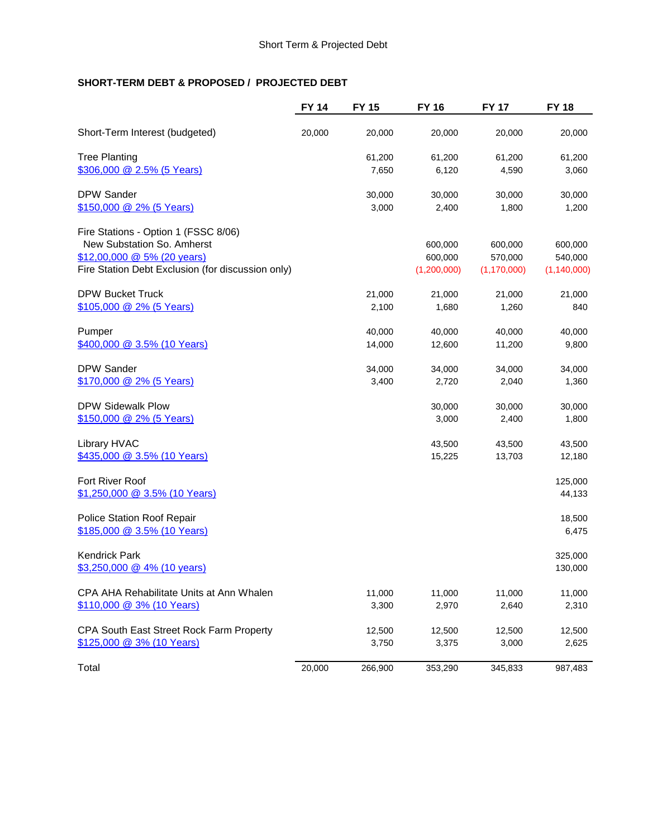## **SHORT-TERM DEBT & PROPOSED / PROJECTED DEBT**

|                                                                                                                                                            | <b>FY 14</b> | <b>FY 15</b>     | <b>FY 16</b>                      | <b>FY 17</b>                        | <b>FY 18</b>                        |
|------------------------------------------------------------------------------------------------------------------------------------------------------------|--------------|------------------|-----------------------------------|-------------------------------------|-------------------------------------|
| Short-Term Interest (budgeted)                                                                                                                             | 20,000       | 20,000           | 20,000                            | 20,000                              | 20,000                              |
| <b>Tree Planting</b><br>\$306,000 @ 2.5% (5 Years)                                                                                                         |              | 61,200<br>7,650  | 61,200<br>6,120                   | 61,200<br>4,590                     | 61,200<br>3,060                     |
| <b>DPW Sander</b><br>\$150,000 @ 2% (5 Years)                                                                                                              |              | 30,000<br>3,000  | 30,000<br>2,400                   | 30,000<br>1,800                     | 30,000<br>1,200                     |
| Fire Stations - Option 1 (FSSC 8/06)<br>New Substation So. Amherst<br>$$12,00,000 \t@ 5\% (20 years)$<br>Fire Station Debt Exclusion (for discussion only) |              |                  | 600,000<br>600,000<br>(1,200,000) | 600,000<br>570,000<br>(1, 170, 000) | 600,000<br>540,000<br>(1, 140, 000) |
| <b>DPW Bucket Truck</b><br>\$105,000 @ 2% (5 Years)                                                                                                        |              | 21,000<br>2,100  | 21,000<br>1,680                   | 21,000<br>1,260                     | 21,000<br>840                       |
| Pumper<br>\$400,000 @ 3.5% (10 Years)                                                                                                                      |              | 40,000<br>14,000 | 40,000<br>12,600                  | 40,000<br>11,200                    | 40,000<br>9,800                     |
| <b>DPW Sander</b><br>\$170,000 @ 2% (5 Years)                                                                                                              |              | 34,000<br>3,400  | 34,000<br>2,720                   | 34,000<br>2,040                     | 34,000<br>1,360                     |
| <b>DPW Sidewalk Plow</b><br>\$150,000 @ 2% (5 Years)                                                                                                       |              |                  | 30,000<br>3,000                   | 30,000<br>2,400                     | 30,000<br>1,800                     |
| Library HVAC<br>\$435,000 @ 3.5% (10 Years)                                                                                                                |              |                  | 43,500<br>15,225                  | 43,500<br>13,703                    | 43,500<br>12,180                    |
| Fort River Roof<br>\$1,250,000 @ 3.5% (10 Years)                                                                                                           |              |                  |                                   |                                     | 125,000<br>44,133                   |
| Police Station Roof Repair<br>\$185,000 @ 3.5% (10 Years)                                                                                                  |              |                  |                                   |                                     | 18,500<br>6,475                     |
| <b>Kendrick Park</b><br>$$3,250,000 \& 4\%$ (10 years)                                                                                                     |              |                  |                                   |                                     | 325,000<br>130,000                  |
| CPA AHA Rehabilitate Units at Ann Whalen<br>\$110,000 @ 3% (10 Years)                                                                                      |              | 11,000<br>3,300  | 11,000<br>2,970                   | 11,000<br>2,640                     | 11,000<br>2,310                     |
| CPA South East Street Rock Farm Property<br>\$125,000 @ 3% (10 Years)                                                                                      |              | 12,500<br>3,750  | 12,500<br>3,375                   | 12,500<br>3,000                     | 12,500<br>2,625                     |
| Total                                                                                                                                                      | 20,000       | 266,900          | 353,290                           | 345,833                             | 987,483                             |